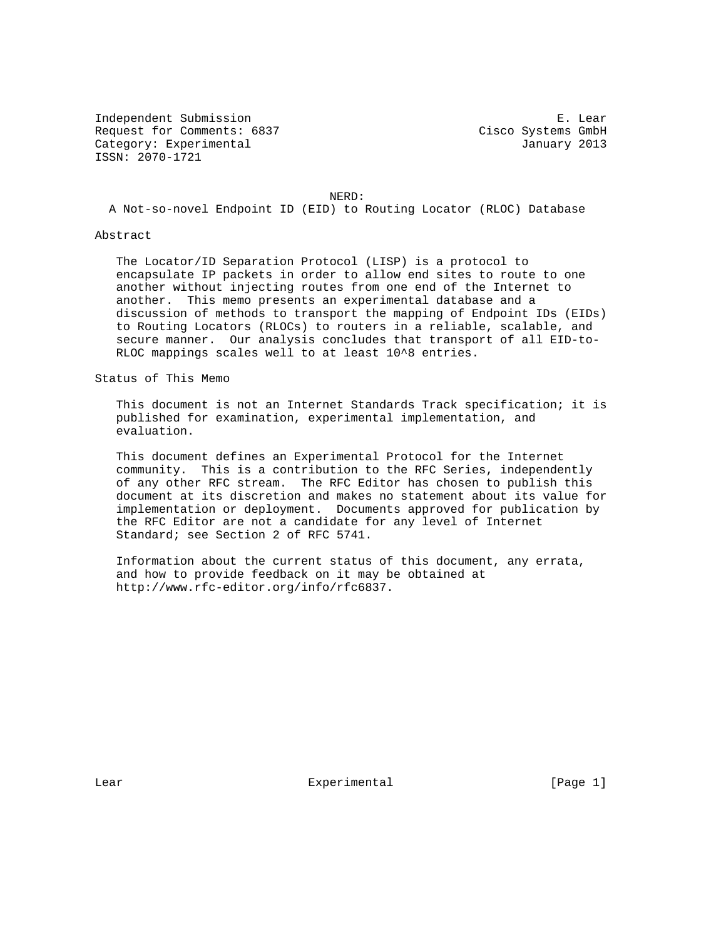Independent Submission E. Lear Request for Comments: 6837 Cisco Systems GmbH Category: Experimental and Category: Experimental ISSN: 2070-1721

NERD:

A Not-so-novel Endpoint ID (EID) to Routing Locator (RLOC) Database

Abstract

 The Locator/ID Separation Protocol (LISP) is a protocol to encapsulate IP packets in order to allow end sites to route to one another without injecting routes from one end of the Internet to another. This memo presents an experimental database and a discussion of methods to transport the mapping of Endpoint IDs (EIDs) to Routing Locators (RLOCs) to routers in a reliable, scalable, and secure manner. Our analysis concludes that transport of all EID-to- RLOC mappings scales well to at least 10^8 entries.

Status of This Memo

 This document is not an Internet Standards Track specification; it is published for examination, experimental implementation, and evaluation.

 This document defines an Experimental Protocol for the Internet community. This is a contribution to the RFC Series, independently of any other RFC stream. The RFC Editor has chosen to publish this document at its discretion and makes no statement about its value for implementation or deployment. Documents approved for publication by the RFC Editor are not a candidate for any level of Internet Standard; see Section 2 of RFC 5741.

 Information about the current status of this document, any errata, and how to provide feedback on it may be obtained at http://www.rfc-editor.org/info/rfc6837.

Lear Experimental [Page 1]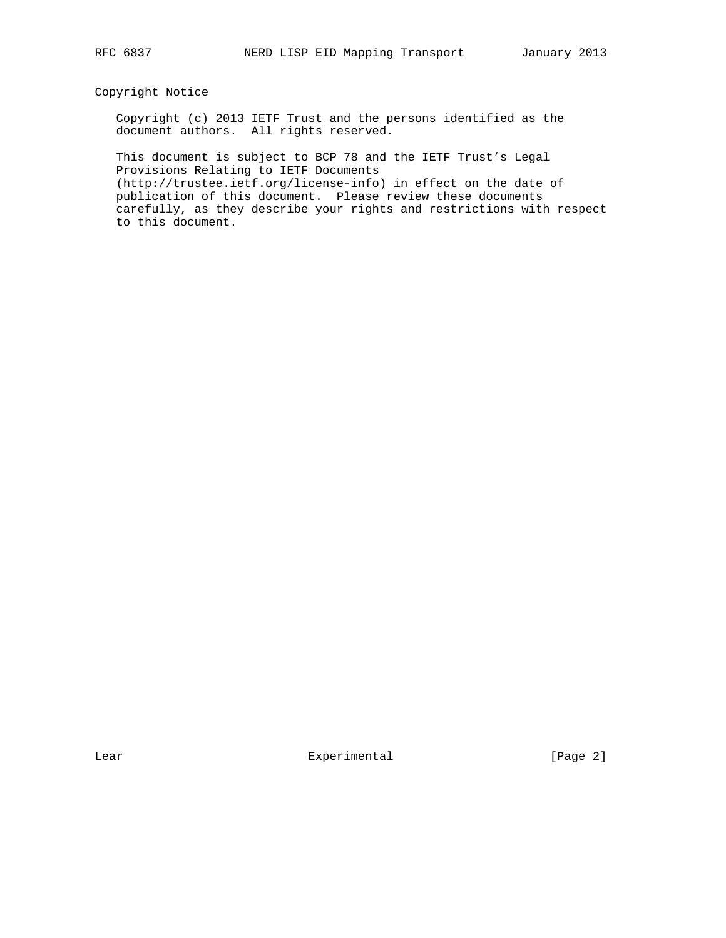## Copyright Notice

 Copyright (c) 2013 IETF Trust and the persons identified as the document authors. All rights reserved.

 This document is subject to BCP 78 and the IETF Trust's Legal Provisions Relating to IETF Documents (http://trustee.ietf.org/license-info) in effect on the date of publication of this document. Please review these documents carefully, as they describe your rights and restrictions with respect to this document.

Lear Experimental [Page 2]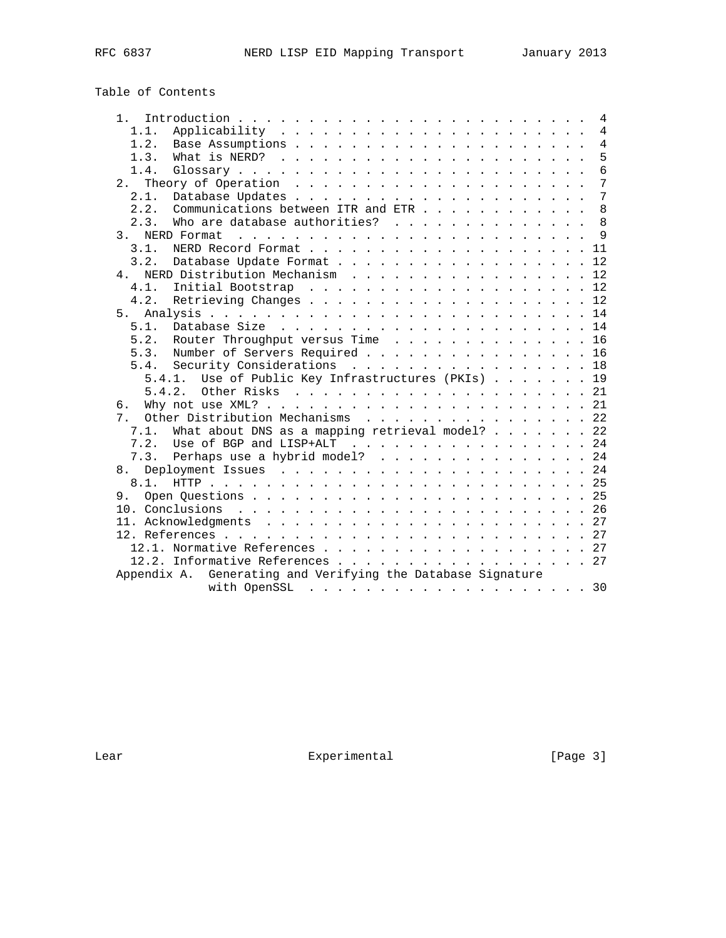# Table of Contents

| 1 <sup>1</sup>                                              | $\overline{4}$ |
|-------------------------------------------------------------|----------------|
| 1.1.                                                        | $\overline{4}$ |
| 1.2.                                                        | 4              |
| 1.3.                                                        | 5              |
| 1.4.                                                        | 6              |
|                                                             | 7              |
| 2.1.                                                        | 7              |
| 2.2.<br>Communications between ITR and ETR                  | 8              |
| Who are database authorities?<br>2.3.                       | 8              |
|                                                             | 9              |
| 3.1.                                                        | 11             |
| 3.2.                                                        | 12             |
| 4. NERD Distribution Mechanism 12                           |                |
| 4.1.                                                        |                |
| 4.2.                                                        |                |
| 5.                                                          |                |
| 5.1.                                                        |                |
| 5.2.                                                        |                |
| Router Throughput versus Time 16                            |                |
| Number of Servers Required 16<br>5.3.                       |                |
| 5.4. Security Considerations 18                             |                |
| 5.4.1. Use of Public Key Infrastructures (PKIs) 19          |                |
|                                                             |                |
| б.                                                          |                |
| Other Distribution Mechanisms 22<br>7.                      |                |
| What about DNS as a mapping retrieval model? 22<br>7.1.     |                |
| 7.2.<br>Use of BGP and LISP+ALT 24                          |                |
| 7.3. Perhaps use a hybrid model? 24                         |                |
| 8.                                                          |                |
|                                                             |                |
|                                                             |                |
|                                                             |                |
|                                                             |                |
|                                                             |                |
|                                                             |                |
| 12.2. Informative References 27                             |                |
| Appendix A. Generating and Verifying the Database Signature |                |
|                                                             | 30             |

Lear Experimental Experimental [Page 3]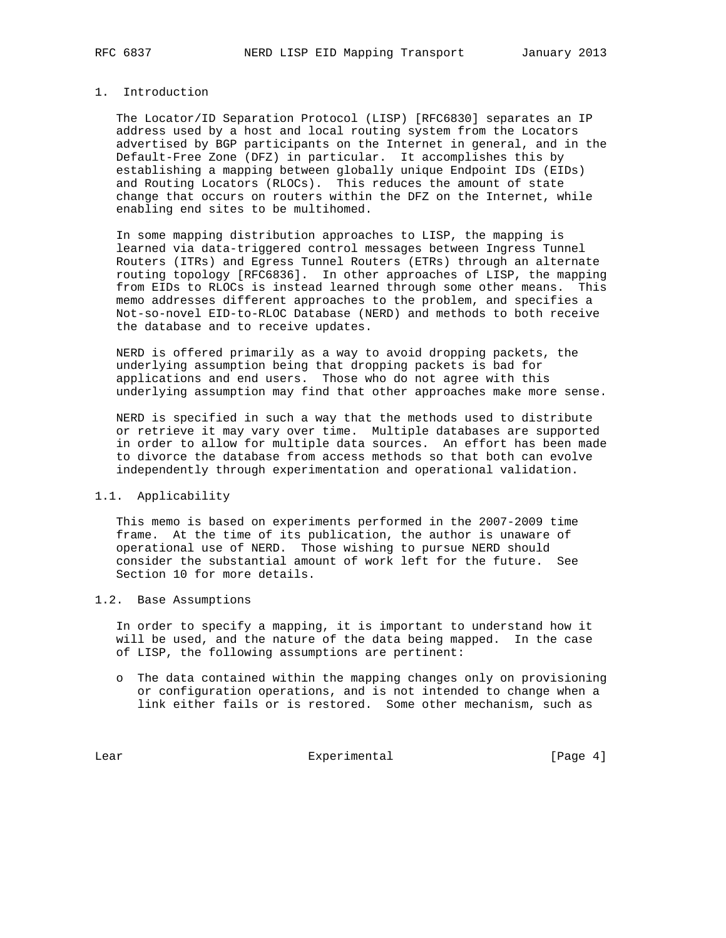## 1. Introduction

 The Locator/ID Separation Protocol (LISP) [RFC6830] separates an IP address used by a host and local routing system from the Locators advertised by BGP participants on the Internet in general, and in the Default-Free Zone (DFZ) in particular. It accomplishes this by establishing a mapping between globally unique Endpoint IDs (EIDs) and Routing Locators (RLOCs). This reduces the amount of state change that occurs on routers within the DFZ on the Internet, while enabling end sites to be multihomed.

 In some mapping distribution approaches to LISP, the mapping is learned via data-triggered control messages between Ingress Tunnel Routers (ITRs) and Egress Tunnel Routers (ETRs) through an alternate routing topology [RFC6836]. In other approaches of LISP, the mapping from EIDs to RLOCs is instead learned through some other means. This memo addresses different approaches to the problem, and specifies a Not-so-novel EID-to-RLOC Database (NERD) and methods to both receive the database and to receive updates.

 NERD is offered primarily as a way to avoid dropping packets, the underlying assumption being that dropping packets is bad for applications and end users. Those who do not agree with this underlying assumption may find that other approaches make more sense.

 NERD is specified in such a way that the methods used to distribute or retrieve it may vary over time. Multiple databases are supported in order to allow for multiple data sources. An effort has been made to divorce the database from access methods so that both can evolve independently through experimentation and operational validation.

#### 1.1. Applicability

 This memo is based on experiments performed in the 2007-2009 time frame. At the time of its publication, the author is unaware of operational use of NERD. Those wishing to pursue NERD should consider the substantial amount of work left for the future. See Section 10 for more details.

## 1.2. Base Assumptions

 In order to specify a mapping, it is important to understand how it will be used, and the nature of the data being mapped. In the case of LISP, the following assumptions are pertinent:

 o The data contained within the mapping changes only on provisioning or configuration operations, and is not intended to change when a link either fails or is restored. Some other mechanism, such as

Lear Experimental Experimental [Page 4]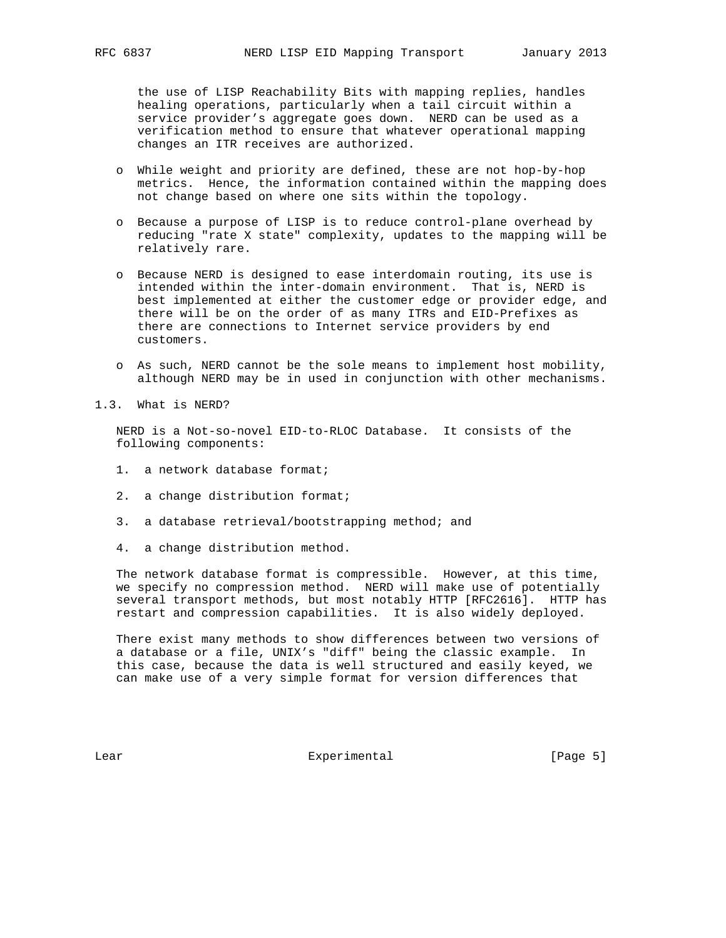the use of LISP Reachability Bits with mapping replies, handles healing operations, particularly when a tail circuit within a service provider's aggregate goes down. NERD can be used as a verification method to ensure that whatever operational mapping changes an ITR receives are authorized.

- o While weight and priority are defined, these are not hop-by-hop metrics. Hence, the information contained within the mapping does not change based on where one sits within the topology.
- o Because a purpose of LISP is to reduce control-plane overhead by reducing "rate X state" complexity, updates to the mapping will be relatively rare.
- o Because NERD is designed to ease interdomain routing, its use is intended within the inter-domain environment. That is, NERD is best implemented at either the customer edge or provider edge, and there will be on the order of as many ITRs and EID-Prefixes as there are connections to Internet service providers by end customers.
- o As such, NERD cannot be the sole means to implement host mobility, although NERD may be in used in conjunction with other mechanisms.
- 1.3. What is NERD?

 NERD is a Not-so-novel EID-to-RLOC Database. It consists of the following components:

- 1. a network database format;
- 2. a change distribution format;
- 3. a database retrieval/bootstrapping method; and
- 4. a change distribution method.

 The network database format is compressible. However, at this time, we specify no compression method. NERD will make use of potentially several transport methods, but most notably HTTP [RFC2616]. HTTP has restart and compression capabilities. It is also widely deployed.

 There exist many methods to show differences between two versions of a database or a file, UNIX's "diff" being the classic example. In this case, because the data is well structured and easily keyed, we can make use of a very simple format for version differences that

Lear Experimental [Page 5]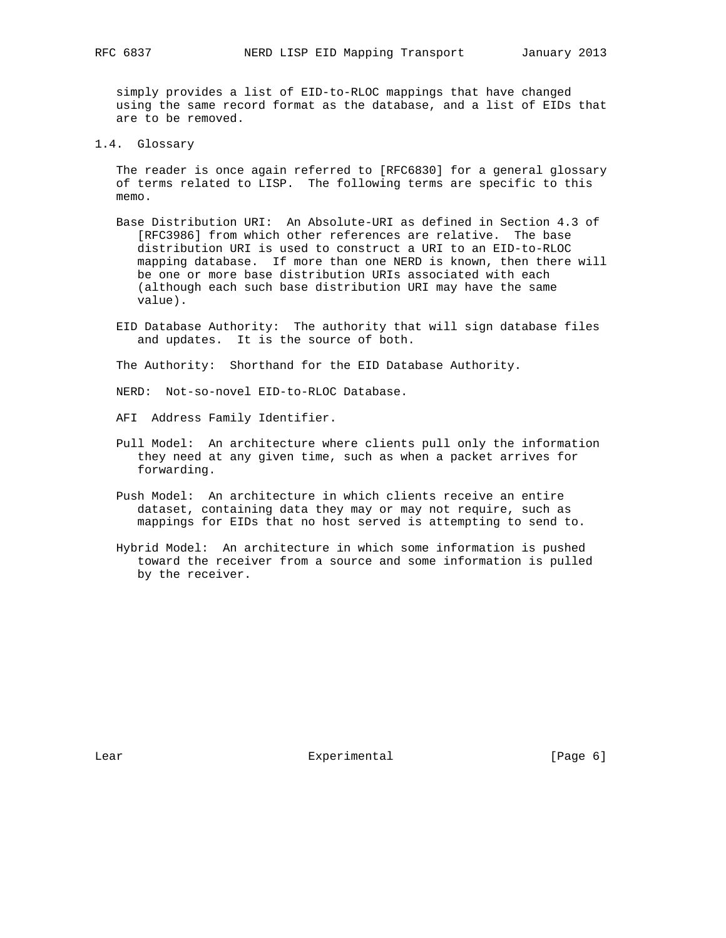simply provides a list of EID-to-RLOC mappings that have changed using the same record format as the database, and a list of EIDs that are to be removed.

1.4. Glossary

 The reader is once again referred to [RFC6830] for a general glossary of terms related to LISP. The following terms are specific to this memo.

- Base Distribution URI: An Absolute-URI as defined in Section 4.3 of [RFC3986] from which other references are relative. The base distribution URI is used to construct a URI to an EID-to-RLOC mapping database. If more than one NERD is known, then there will be one or more base distribution URIs associated with each (although each such base distribution URI may have the same value).
- EID Database Authority: The authority that will sign database files and updates. It is the source of both.

The Authority: Shorthand for the EID Database Authority.

NERD: Not-so-novel EID-to-RLOC Database.

- AFI Address Family Identifier.
- Pull Model: An architecture where clients pull only the information they need at any given time, such as when a packet arrives for forwarding.
- Push Model: An architecture in which clients receive an entire dataset, containing data they may or may not require, such as mappings for EIDs that no host served is attempting to send to.
- Hybrid Model: An architecture in which some information is pushed toward the receiver from a source and some information is pulled by the receiver.

Lear Experimental [Page 6]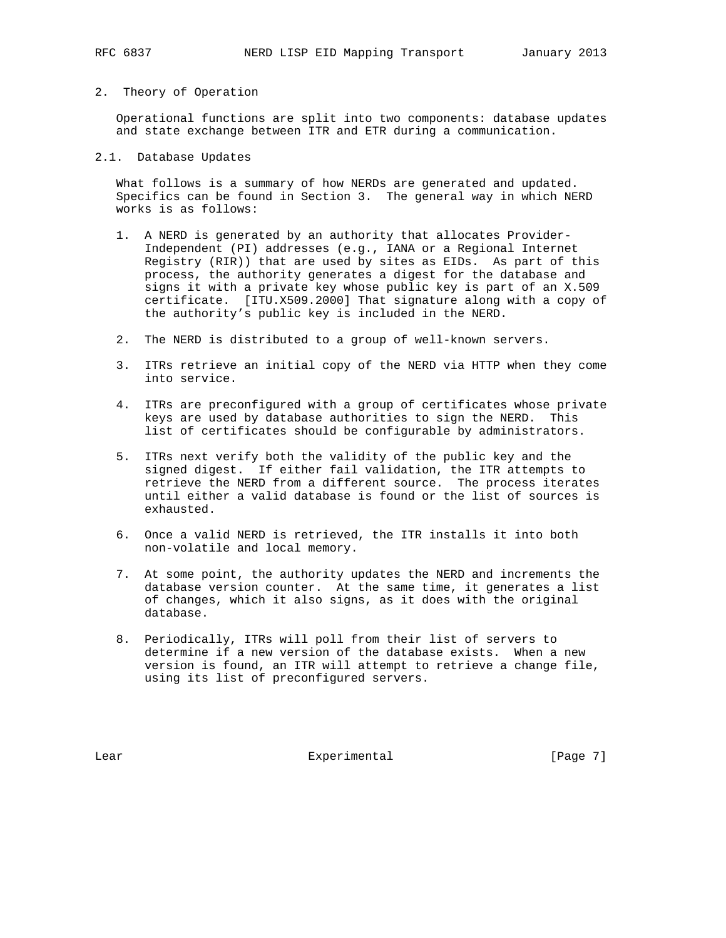## 2. Theory of Operation

 Operational functions are split into two components: database updates and state exchange between ITR and ETR during a communication.

## 2.1. Database Updates

 What follows is a summary of how NERDs are generated and updated. Specifics can be found in Section 3. The general way in which NERD works is as follows:

- 1. A NERD is generated by an authority that allocates Provider- Independent (PI) addresses (e.g., IANA or a Regional Internet Registry (RIR)) that are used by sites as EIDs. As part of this process, the authority generates a digest for the database and signs it with a private key whose public key is part of an X.509 certificate. [ITU.X509.2000] That signature along with a copy of the authority's public key is included in the NERD.
- 2. The NERD is distributed to a group of well-known servers.
- 3. ITRs retrieve an initial copy of the NERD via HTTP when they come into service.
- 4. ITRs are preconfigured with a group of certificates whose private keys are used by database authorities to sign the NERD. This list of certificates should be configurable by administrators.
- 5. ITRs next verify both the validity of the public key and the signed digest. If either fail validation, the ITR attempts to retrieve the NERD from a different source. The process iterates until either a valid database is found or the list of sources is exhausted.
- 6. Once a valid NERD is retrieved, the ITR installs it into both non-volatile and local memory.
- 7. At some point, the authority updates the NERD and increments the database version counter. At the same time, it generates a list of changes, which it also signs, as it does with the original database.
- 8. Periodically, ITRs will poll from their list of servers to determine if a new version of the database exists. When a new version is found, an ITR will attempt to retrieve a change file, using its list of preconfigured servers.

Lear Experimental [Page 7]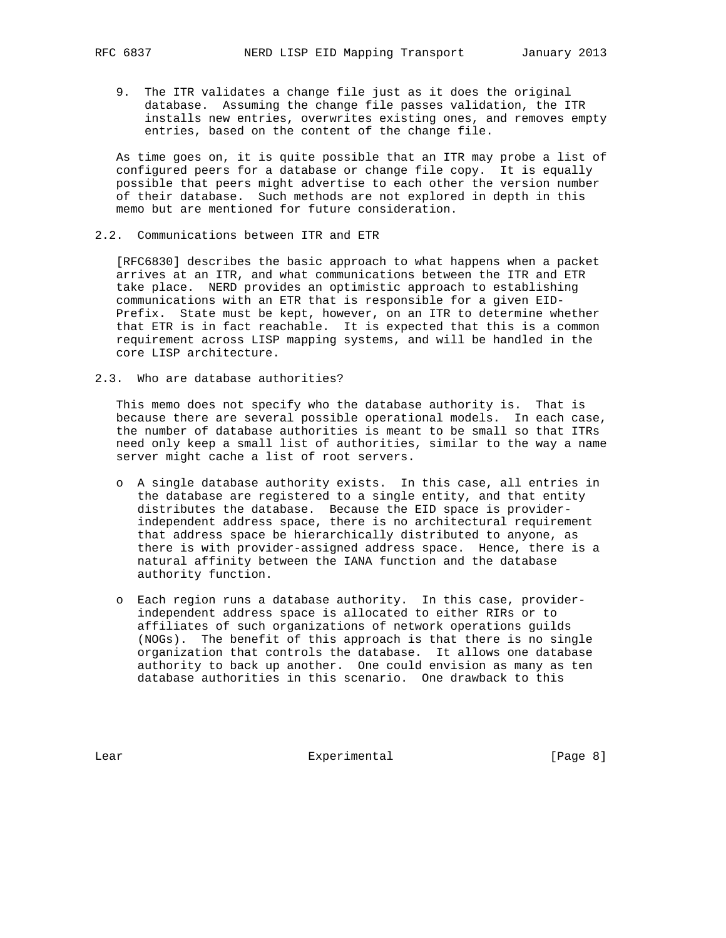9. The ITR validates a change file just as it does the original database. Assuming the change file passes validation, the ITR installs new entries, overwrites existing ones, and removes empty entries, based on the content of the change file.

 As time goes on, it is quite possible that an ITR may probe a list of configured peers for a database or change file copy. It is equally possible that peers might advertise to each other the version number of their database. Such methods are not explored in depth in this memo but are mentioned for future consideration.

2.2. Communications between ITR and ETR

 [RFC6830] describes the basic approach to what happens when a packet arrives at an ITR, and what communications between the ITR and ETR take place. NERD provides an optimistic approach to establishing communications with an ETR that is responsible for a given EID- Prefix. State must be kept, however, on an ITR to determine whether that ETR is in fact reachable. It is expected that this is a common requirement across LISP mapping systems, and will be handled in the core LISP architecture.

2.3. Who are database authorities?

 This memo does not specify who the database authority is. That is because there are several possible operational models. In each case, the number of database authorities is meant to be small so that ITRs need only keep a small list of authorities, similar to the way a name server might cache a list of root servers.

- o A single database authority exists. In this case, all entries in the database are registered to a single entity, and that entity distributes the database. Because the EID space is provider independent address space, there is no architectural requirement that address space be hierarchically distributed to anyone, as there is with provider-assigned address space. Hence, there is a natural affinity between the IANA function and the database authority function.
- o Each region runs a database authority. In this case, provider independent address space is allocated to either RIRs or to affiliates of such organizations of network operations guilds (NOGs). The benefit of this approach is that there is no single organization that controls the database. It allows one database authority to back up another. One could envision as many as ten database authorities in this scenario. One drawback to this

Lear Experimental Experimental [Page 8]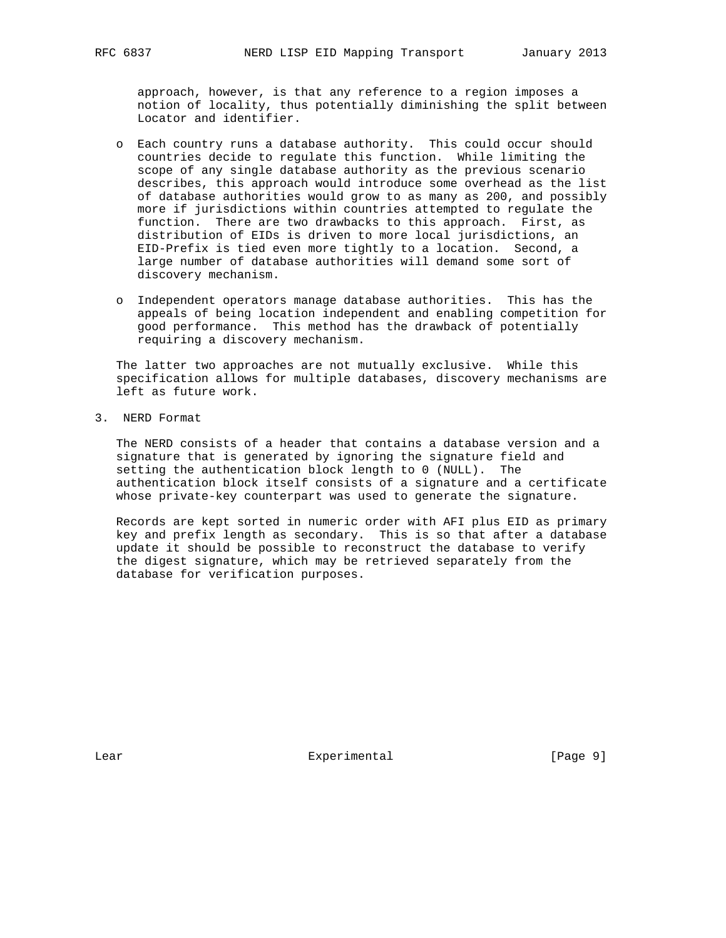approach, however, is that any reference to a region imposes a notion of locality, thus potentially diminishing the split between Locator and identifier.

- o Each country runs a database authority. This could occur should countries decide to regulate this function. While limiting the scope of any single database authority as the previous scenario describes, this approach would introduce some overhead as the list of database authorities would grow to as many as 200, and possibly more if jurisdictions within countries attempted to regulate the function. There are two drawbacks to this approach. First, as distribution of EIDs is driven to more local jurisdictions, an EID-Prefix is tied even more tightly to a location. Second, a large number of database authorities will demand some sort of discovery mechanism.
- o Independent operators manage database authorities. This has the appeals of being location independent and enabling competition for good performance. This method has the drawback of potentially requiring a discovery mechanism.

 The latter two approaches are not mutually exclusive. While this specification allows for multiple databases, discovery mechanisms are left as future work.

3. NERD Format

 The NERD consists of a header that contains a database version and a signature that is generated by ignoring the signature field and setting the authentication block length to 0 (NULL). The authentication block itself consists of a signature and a certificate whose private-key counterpart was used to generate the signature.

 Records are kept sorted in numeric order with AFI plus EID as primary key and prefix length as secondary. This is so that after a database update it should be possible to reconstruct the database to verify the digest signature, which may be retrieved separately from the database for verification purposes.

Lear Experimental [Page 9]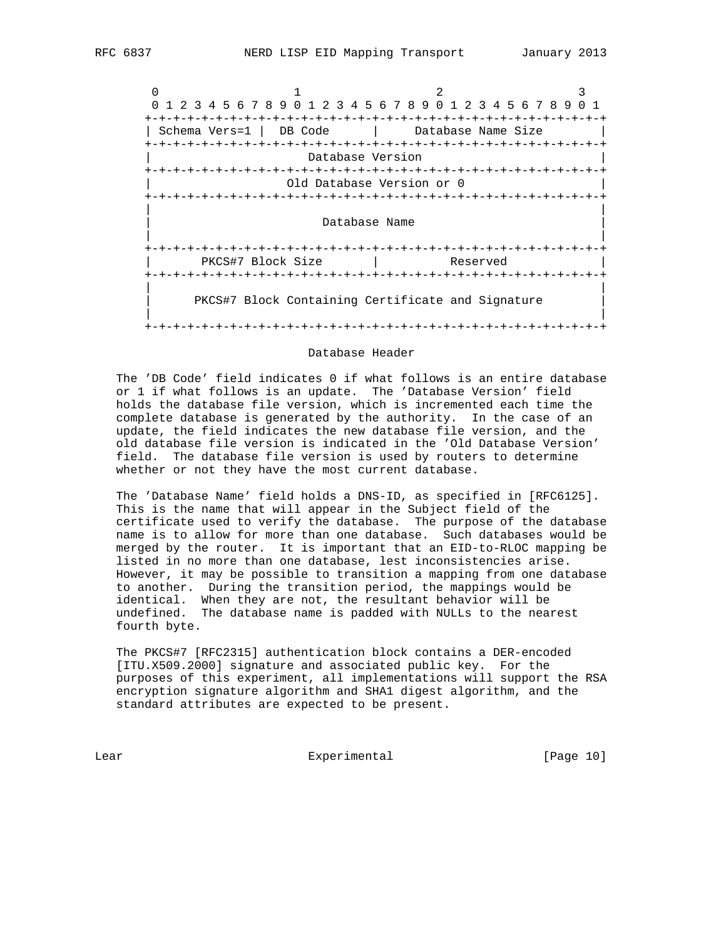$0$  1 2 3 0 1 2 3 4 5 6 7 8 9 0 1 2 3 4 5 6 7 8 9 0 1 2 3 4 5 6 7 8 9 0 1 +-+-+-+-+-+-+-+-+-+-+-+-+-+-+-+-+-+-+-+-+-+-+-+-+-+-+-+-+-+-+-+-+ | Schema Vers=1 | DB Code | Database Name Size | +-+-+-+-+-+-+-+-+-+-+-+-+-+-+-+-+-+-+-+-+-+-+-+-+-+-+-+-+-+-+-+-+ Database Version +-+-+-+-+-+-+-+-+-+-+-+-+-+-+-+-+-+-+-+-+-+-+-+-+-+-+-+-+-+-+-+-+ 0ld Database Version or 0 +-+-+-+-+-+-+-+-+-+-+-+-+-+-+-+-+-+-+-+-+-+-+-+-+-+-+-+-+-+-+-+-+ | | Database Name | | +-+-+-+-+-+-+-+-+-+-+-+-+-+-+-+-+-+-+-+-+-+-+-+-+-+-+-+-+-+-+-+-+ PKCS#7 Block Size | Reserved +-+-+-+-+-+-+-+-+-+-+-+-+-+-+-+-+-+-+-+-+-+-+-+-+-+-+-+-+-+-+-+-+ | | PKCS#7 Block Containing Certificate and Signature | | +-+-+-+-+-+-+-+-+-+-+-+-+-+-+-+-+-+-+-+-+-+-+-+-+-+-+-+-+-+-+-+-+

#### Database Header

 The 'DB Code' field indicates 0 if what follows is an entire database or 1 if what follows is an update. The 'Database Version' field holds the database file version, which is incremented each time the complete database is generated by the authority. In the case of an update, the field indicates the new database file version, and the old database file version is indicated in the 'Old Database Version' field. The database file version is used by routers to determine whether or not they have the most current database.

 The 'Database Name' field holds a DNS-ID, as specified in [RFC6125]. This is the name that will appear in the Subject field of the certificate used to verify the database. The purpose of the database name is to allow for more than one database. Such databases would be merged by the router. It is important that an EID-to-RLOC mapping be listed in no more than one database, lest inconsistencies arise. However, it may be possible to transition a mapping from one database to another. During the transition period, the mappings would be identical. When they are not, the resultant behavior will be undefined. The database name is padded with NULLs to the nearest fourth byte.

 The PKCS#7 [RFC2315] authentication block contains a DER-encoded [ITU.X509.2000] signature and associated public key. For the purposes of this experiment, all implementations will support the RSA encryption signature algorithm and SHA1 digest algorithm, and the standard attributes are expected to be present.

Lear Experimental Experimental [Page 10]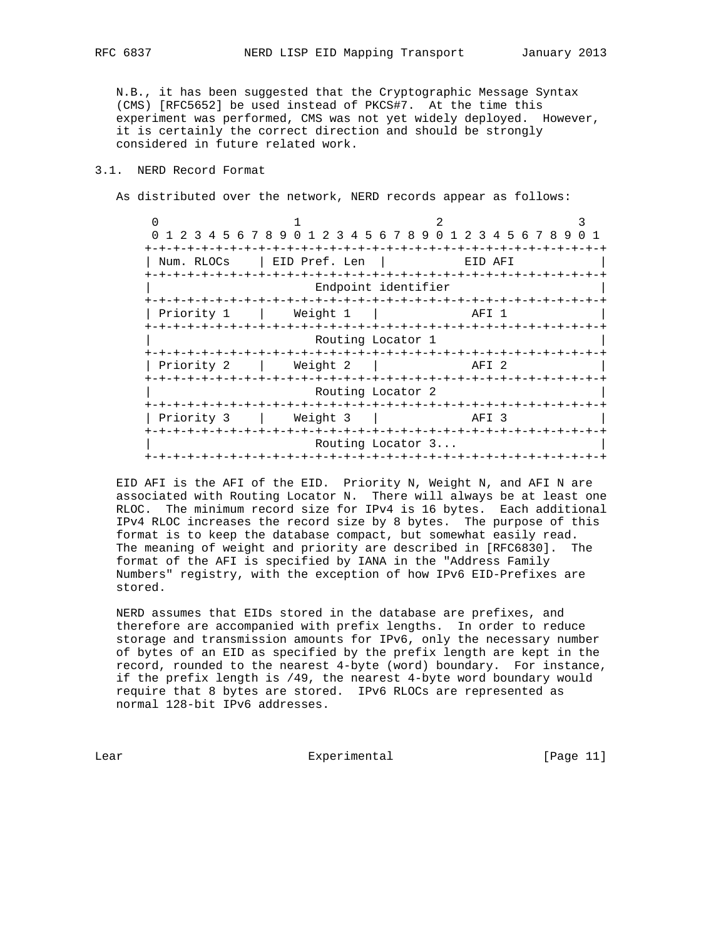N.B., it has been suggested that the Cryptographic Message Syntax (CMS) [RFC5652] be used instead of PKCS#7. At the time this experiment was performed, CMS was not yet widely deployed. However, it is certainly the correct direction and should be strongly considered in future related work.

## 3.1. NERD Record Format

As distributed over the network, NERD records appear as follows:

 $0$  1 2 3 0 1 2 3 4 5 6 7 8 9 0 1 2 3 4 5 6 7 8 9 0 1 2 3 4 5 6 7 8 9 0 1 +-+-+-+-+-+-+-+-+-+-+-+-+-+-+-+-+-+-+-+-+-+-+-+-+-+-+-+-+-+-+-+-+ | Num. RLOCs | EID Pref. Len | EID AFI +-+-+-+-+-+-+-+-+-+-+-+-+-+-+-+-+-+-+-+-+-+-+-+-+-+-+-+-+-+-+-+-+ Endpoint identifier +-+-+-+-+-+-+-+-+-+-+-+-+-+-+-+-+-+-+-+-+-+-+-+-+-+-+-+-+-+-+-+-+ | Priority 1 | Weight 1 | +-+-+-+-+-+-+-+-+-+-+-+-+-+-+-+-+-+-+-+-+-+-+-+-+-+-+-+-+-+-+-+-+ Routing Locator 1 +-+-+-+-+-+-+-+-+-+-+-+-+-+-+-+-+-+-+-+-+-+-+-+-+-+-+-+-+-+-+-+-+ | Priority 2 | Weight 2 | AFI 2 | +-+-+-+-+-+-+-+-+-+-+-+-+-+-+-+-+-+-+-+-+-+-+-+-+-+-+-+-+-+-+-+-+ Routing Locator 2 +-+-+-+-+-+-+-+-+-+-+-+-+-+-+-+-+-+-+-+-+-+-+-+-+-+-+-+-+-+-+-+-+ | Priority 3 | Weight 3 | +-+-+-+-+-+-+-+-+-+-+-+-+-+-+-+-+-+-+-+-+-+-+-+-+-+-+-+-+-+-+-+-+ Routing Locator 3... +-+-+-+-+-+-+-+-+-+-+-+-+-+-+-+-+-+-+-+-+-+-+-+-+-+-+-+-+-+-+-+-+

 EID AFI is the AFI of the EID. Priority N, Weight N, and AFI N are associated with Routing Locator N. There will always be at least one RLOC. The minimum record size for IPv4 is 16 bytes. Each additional IPv4 RLOC increases the record size by 8 bytes. The purpose of this format is to keep the database compact, but somewhat easily read. The meaning of weight and priority are described in [RFC6830]. The format of the AFI is specified by IANA in the "Address Family Numbers" registry, with the exception of how IPv6 EID-Prefixes are stored.

 NERD assumes that EIDs stored in the database are prefixes, and therefore are accompanied with prefix lengths. In order to reduce storage and transmission amounts for IPv6, only the necessary number of bytes of an EID as specified by the prefix length are kept in the record, rounded to the nearest 4-byte (word) boundary. For instance, if the prefix length is /49, the nearest 4-byte word boundary would require that 8 bytes are stored. IPv6 RLOCs are represented as normal 128-bit IPv6 addresses.

Lear Experimental Experimental [Page 11]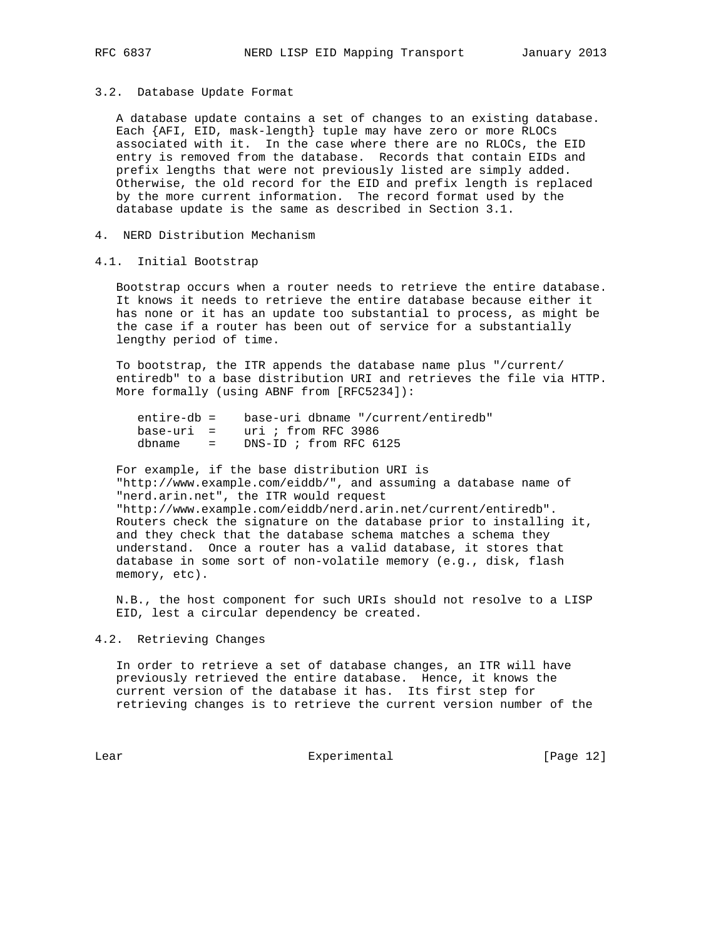#### 3.2. Database Update Format

 A database update contains a set of changes to an existing database. Each {AFI, EID, mask-length} tuple may have zero or more RLOCs associated with it. In the case where there are no RLOCs, the EID entry is removed from the database. Records that contain EIDs and prefix lengths that were not previously listed are simply added. Otherwise, the old record for the EID and prefix length is replaced by the more current information. The record format used by the database update is the same as described in Section 3.1.

4. NERD Distribution Mechanism

## 4.1. Initial Bootstrap

 Bootstrap occurs when a router needs to retrieve the entire database. It knows it needs to retrieve the entire database because either it has none or it has an update too substantial to process, as might be the case if a router has been out of service for a substantially lengthy period of time.

 To bootstrap, the ITR appends the database name plus "/current/ entiredb" to a base distribution URI and retrieves the file via HTTP. More formally (using ABNF from [RFC5234]):

| entire-db = | base-uri dbname "/current/entiredb" |
|-------------|-------------------------------------|
|             | $base-uri = uri$ ; from RFC 3986    |
| dbname =    | DNS-ID ; from RFC 6125              |

 For example, if the base distribution URI is "http://www.example.com/eiddb/", and assuming a database name of "nerd.arin.net", the ITR would request "http://www.example.com/eiddb/nerd.arin.net/current/entiredb". Routers check the signature on the database prior to installing it, and they check that the database schema matches a schema they understand. Once a router has a valid database, it stores that database in some sort of non-volatile memory (e.g., disk, flash memory, etc).

 N.B., the host component for such URIs should not resolve to a LISP EID, lest a circular dependency be created.

#### 4.2. Retrieving Changes

 In order to retrieve a set of database changes, an ITR will have previously retrieved the entire database. Hence, it knows the current version of the database it has. Its first step for retrieving changes is to retrieve the current version number of the

Lear Experimental [Page 12]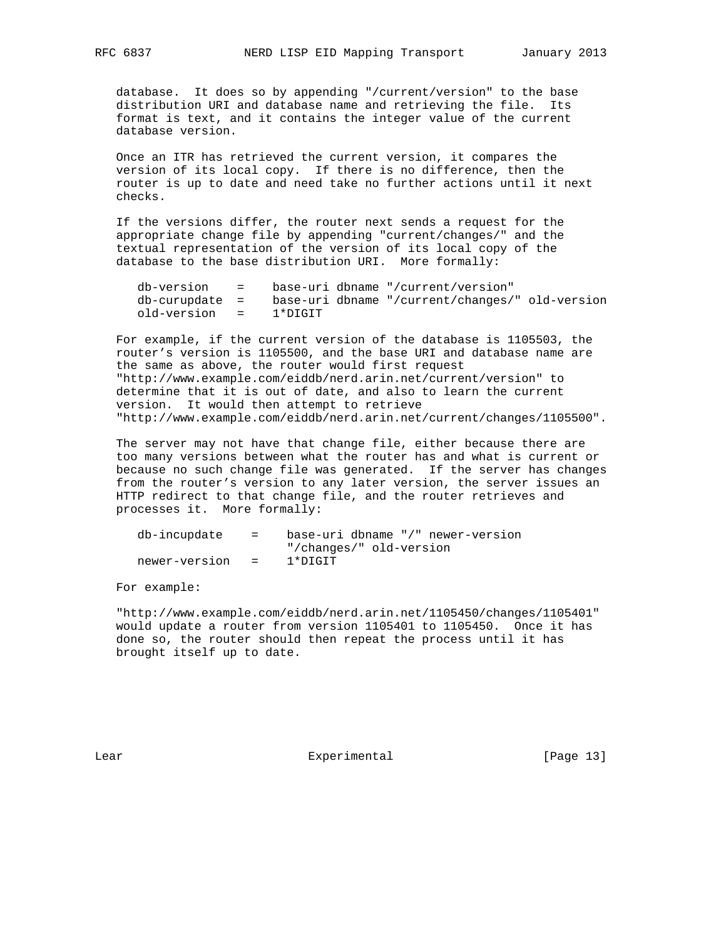database. It does so by appending "/current/version" to the base distribution URI and database name and retrieving the file. Its format is text, and it contains the integer value of the current database version.

 Once an ITR has retrieved the current version, it compares the version of its local copy. If there is no difference, then the router is up to date and need take no further actions until it next checks.

 If the versions differ, the router next sends a request for the appropriate change file by appending "current/changes/" and the textual representation of the version of its local copy of the database to the base distribution URI. More formally:

|                       | $db-version = base-uri dbname "/current/version"$                 |
|-----------------------|-------------------------------------------------------------------|
|                       | $db$ -curupdate = base-uri dbname "/current/changes/" old-version |
| old-version = 1*DIGIT |                                                                   |

 For example, if the current version of the database is 1105503, the router's version is 1105500, and the base URI and database name are the same as above, the router would first request "http://www.example.com/eiddb/nerd.arin.net/current/version" to determine that it is out of date, and also to learn the current version. It would then attempt to retrieve "http://www.example.com/eiddb/nerd.arin.net/current/changes/1105500".

 The server may not have that change file, either because there are too many versions between what the router has and what is current or because no such change file was generated. If the server has changes from the router's version to any later version, the server issues an HTTP redirect to that change file, and the router retrieves and processes it. More formally:

| db-incupdate    | $\mathbf{r} = \mathbf{r}$ | base-uri dbname "/" newer-version |
|-----------------|---------------------------|-----------------------------------|
|                 |                           | "/changes/" old-version           |
| newer-version = |                           | 1*DIGIT                           |

For example:

 "http://www.example.com/eiddb/nerd.arin.net/1105450/changes/1105401" would update a router from version 1105401 to 1105450. Once it has done so, the router should then repeat the process until it has brought itself up to date.

Lear Experimental [Page 13]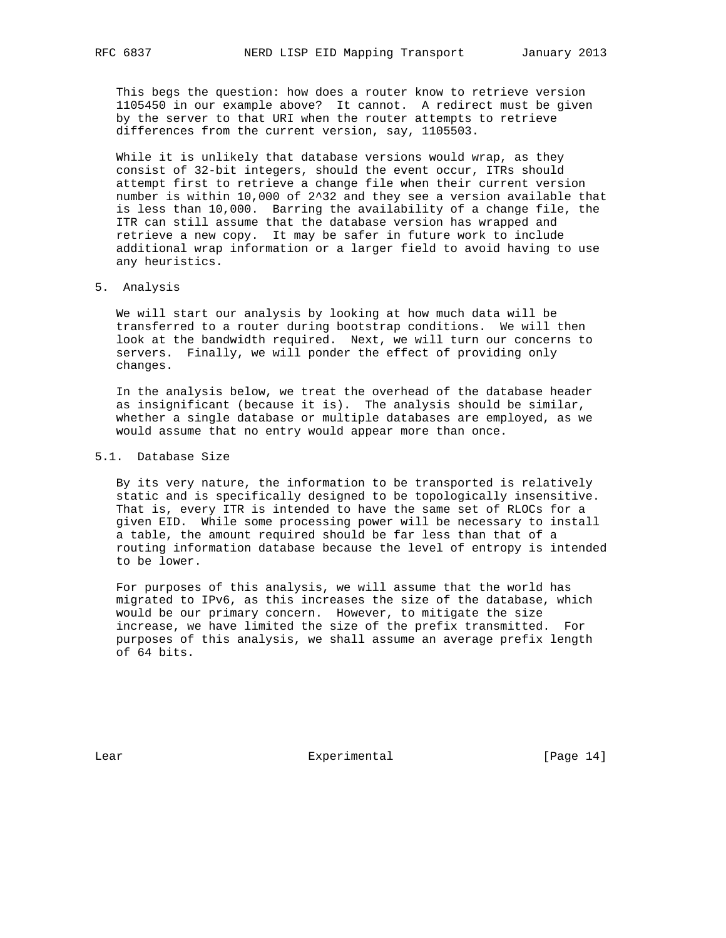This begs the question: how does a router know to retrieve version 1105450 in our example above? It cannot. A redirect must be given by the server to that URI when the router attempts to retrieve differences from the current version, say, 1105503.

 While it is unlikely that database versions would wrap, as they consist of 32-bit integers, should the event occur, ITRs should attempt first to retrieve a change file when their current version number is within 10,000 of 2^32 and they see a version available that is less than 10,000. Barring the availability of a change file, the ITR can still assume that the database version has wrapped and retrieve a new copy. It may be safer in future work to include additional wrap information or a larger field to avoid having to use any heuristics.

#### 5. Analysis

 We will start our analysis by looking at how much data will be transferred to a router during bootstrap conditions. We will then look at the bandwidth required. Next, we will turn our concerns to servers. Finally, we will ponder the effect of providing only changes.

 In the analysis below, we treat the overhead of the database header as insignificant (because it is). The analysis should be similar, whether a single database or multiple databases are employed, as we would assume that no entry would appear more than once.

## 5.1. Database Size

 By its very nature, the information to be transported is relatively static and is specifically designed to be topologically insensitive. That is, every ITR is intended to have the same set of RLOCs for a given EID. While some processing power will be necessary to install a table, the amount required should be far less than that of a routing information database because the level of entropy is intended to be lower.

 For purposes of this analysis, we will assume that the world has migrated to IPv6, as this increases the size of the database, which would be our primary concern. However, to mitigate the size increase, we have limited the size of the prefix transmitted. For purposes of this analysis, we shall assume an average prefix length of 64 bits.

Lear Experimental [Page 14]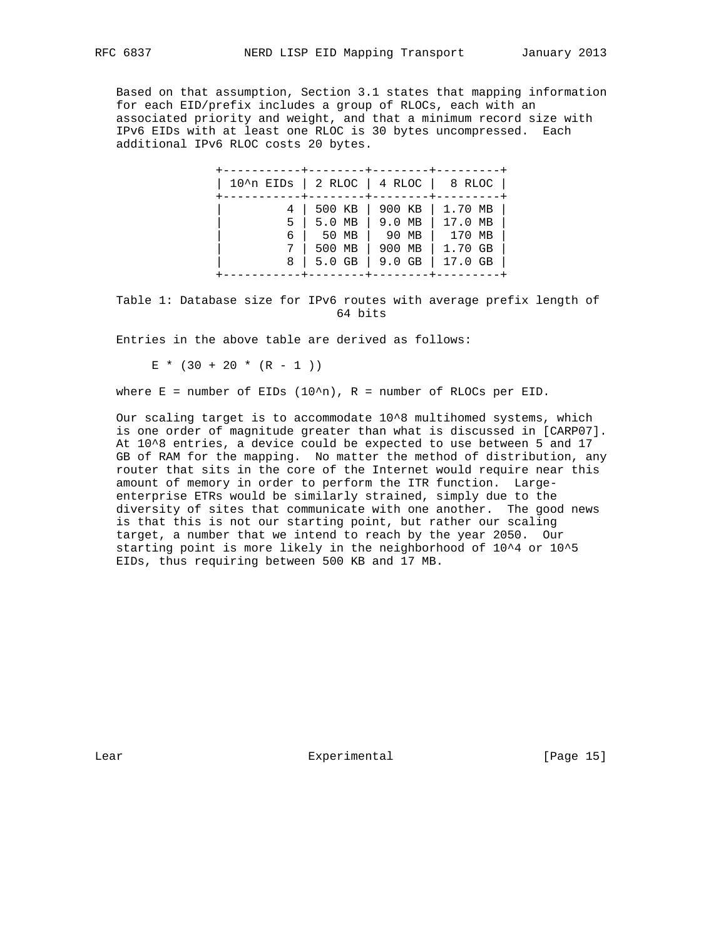Based on that assumption, Section 3.1 states that mapping information for each EID/prefix includes a group of RLOCs, each with an associated priority and weight, and that a minimum record size with IPv6 EIDs with at least one RLOC is 30 bytes uncompressed. Each additional IPv6 RLOC costs 20 bytes.

| $10^{\circ}$ n EIDs   2 RLOC   4 RLOC   8 RLOC |                                         |                                                                                  |                                                    |
|------------------------------------------------|-----------------------------------------|----------------------------------------------------------------------------------|----------------------------------------------------|
| 4<br>5<br>8                                    | 500 KB<br>6   50 MB<br>500 MB<br>5.0 GB | 900 KB<br>$5.0$ MB $\vert$ 9.0 MB $\vert$<br>90 MB<br>900 MB<br>$9.0$ GB $\vert$ | 1.70 MB<br>17.0 MB<br>170 MB<br>1.70 GB<br>17.0 GB |

 Table 1: Database size for IPv6 routes with average prefix length of 64 bits

Entries in the above table are derived as follows:

 $E * (30 + 20 * (R - 1))$ 

where  $E =$  number of EIDs (10^n),  $R =$  number of RLOCs per EID.

 Our scaling target is to accommodate 10^8 multihomed systems, which is one order of magnitude greater than what is discussed in [CARP07]. At 10^8 entries, a device could be expected to use between 5 and 17 GB of RAM for the mapping. No matter the method of distribution, any router that sits in the core of the Internet would require near this amount of memory in order to perform the ITR function. Large enterprise ETRs would be similarly strained, simply due to the diversity of sites that communicate with one another. The good news is that this is not our starting point, but rather our scaling target, a number that we intend to reach by the year 2050. Our starting point is more likely in the neighborhood of 10^4 or 10^5 EIDs, thus requiring between 500 KB and 17 MB.

Lear **Experimental** Experimental [Page 15]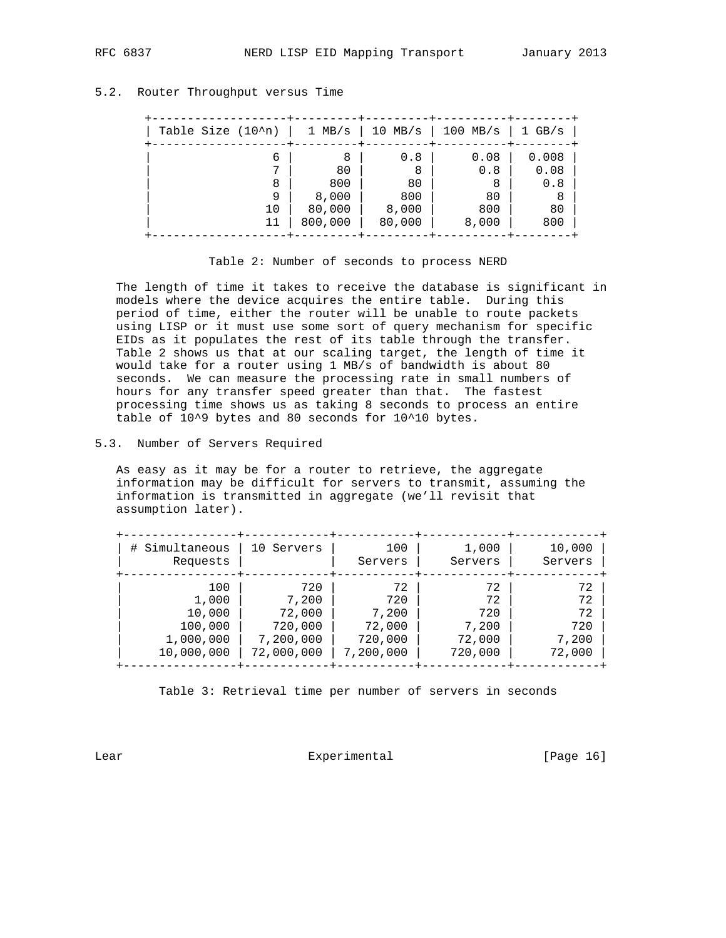## 5.2. Router Throughput versus Time

| Table Size $(10^n)$ | $1$ MB/s | 10 MB/s $ $ | $100$ MB/s | $1$ GB/s |
|---------------------|----------|-------------|------------|----------|
| 6                   | 8        | 0.8         | 0.08       | 0.008    |
|                     | 80       | 8           | 0.8        | 0.08     |
| 8                   | 800      | 80          | 8          | 0.8      |
| 9                   | 8,000    | 800         | 80         | 8        |
| 10                  | 80,000   | 8,000       | 800        | 80       |
|                     | 800,000  | 80,000      | 8,000      | 800      |
|                     |          |             |            |          |

Table 2: Number of seconds to process NERD

 The length of time it takes to receive the database is significant in models where the device acquires the entire table. During this period of time, either the router will be unable to route packets using LISP or it must use some sort of query mechanism for specific EIDs as it populates the rest of its table through the transfer. Table 2 shows us that at our scaling target, the length of time it would take for a router using 1 MB/s of bandwidth is about 80 seconds. We can measure the processing rate in small numbers of hours for any transfer speed greater than that. The fastest processing time shows us as taking 8 seconds to process an entire table of 10^9 bytes and 80 seconds for 10^10 bytes.

## 5.3. Number of Servers Required

 As easy as it may be for a router to retrieve, the aggregate information may be difficult for servers to transmit, assuming the information is transmitted in aggregate (we'll revisit that assumption later).

| # Simultaneous | 10 Servers | 100       | 1,000   | 10,000  |
|----------------|------------|-----------|---------|---------|
| Requests       |            | Servers   | Servers | Servers |
| 100            | 720        | 72        | 72      | 72      |
| 1,000          | 7,200      | 720       | 72      | 72      |
| 10,000         | 72,000     | 7,200     | 720     | 72      |
| 100,000        | 720,000    | 72,000    | 7,200   | 720     |
| 1,000,000      | 7,200,000  | 720,000   | 72,000  | 7,200   |
| 10,000,000     | 72,000,000 | 7,200,000 | 720,000 | 72,000  |

Table 3: Retrieval time per number of servers in seconds

Lear Experimental [Page 16]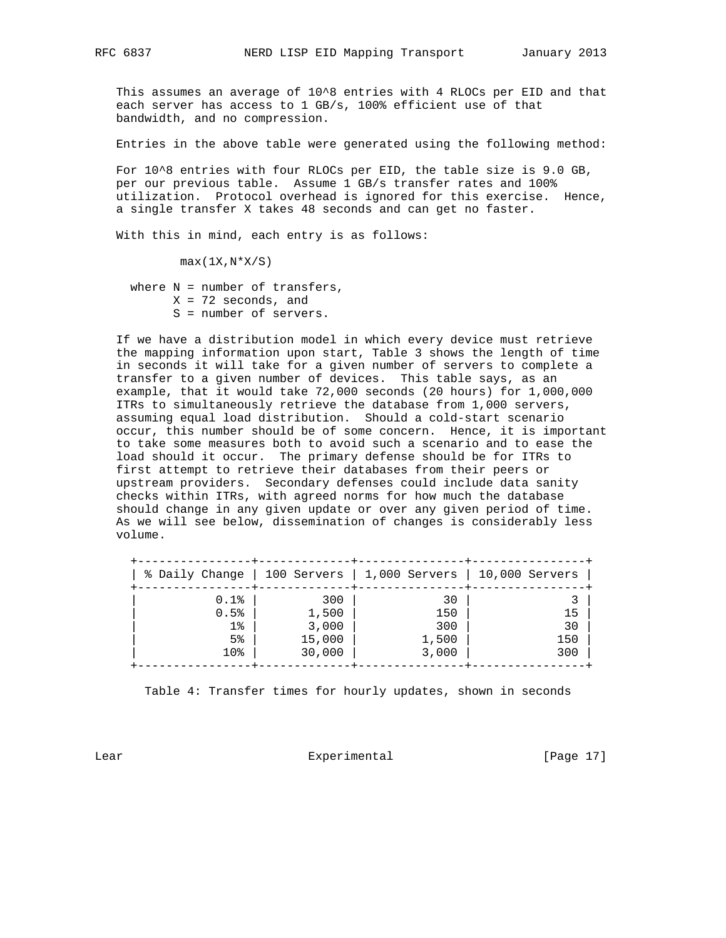This assumes an average of 10^8 entries with 4 RLOCs per EID and that each server has access to 1 GB/s, 100% efficient use of that bandwidth, and no compression.

Entries in the above table were generated using the following method:

 For 10^8 entries with four RLOCs per EID, the table size is 9.0 GB, per our previous table. Assume 1 GB/s transfer rates and 100% utilization. Protocol overhead is ignored for this exercise. Hence, a single transfer X takes 48 seconds and can get no faster.

With this in mind, each entry is as follows:

 $max(1X,N*X/S)$ 

where  $N =$  number of transfers,  $X = 72$  seconds, and S = number of servers.

 If we have a distribution model in which every device must retrieve the mapping information upon start, Table 3 shows the length of time in seconds it will take for a given number of servers to complete a transfer to a given number of devices. This table says, as an example, that it would take 72,000 seconds (20 hours) for 1,000,000 ITRs to simultaneously retrieve the database from 1,000 servers, assuming equal load distribution. Should a cold-start scenario occur, this number should be of some concern. Hence, it is important to take some measures both to avoid such a scenario and to ease the load should it occur. The primary defense should be for ITRs to first attempt to retrieve their databases from their peers or upstream providers. Secondary defenses could include data sanity checks within ITRs, with agreed norms for how much the database should change in any given update or over any given period of time. As we will see below, dissemination of changes is considerably less volume.

| % Daily Change  |        | $\vert$ 100 Servers $\vert$ 1,000 Servers | $\vert$ 10,000 Servers |
|-----------------|--------|-------------------------------------------|------------------------|
| 0.1%            | 300    | 30                                        |                        |
| 0.5%            | 1,500  | 150                                       | 15                     |
| $1\%$           | 3,000  | 300                                       | 30                     |
| 5 <sup>°</sup>  | 15,000 | 1,500                                     | 150                    |
| 10 <sub>8</sub> | 30,000 | 3,000                                     | 300                    |

Table 4: Transfer times for hourly updates, shown in seconds

Lear Experimental [Page 17]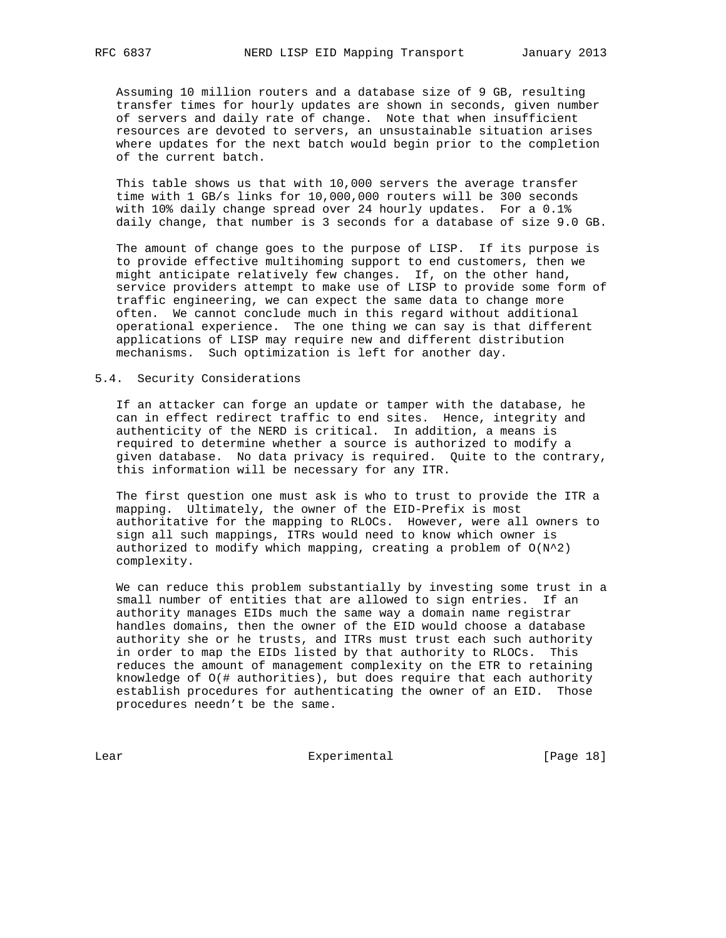Assuming 10 million routers and a database size of 9 GB, resulting transfer times for hourly updates are shown in seconds, given number of servers and daily rate of change. Note that when insufficient resources are devoted to servers, an unsustainable situation arises where updates for the next batch would begin prior to the completion of the current batch.

 This table shows us that with 10,000 servers the average transfer time with 1 GB/s links for 10,000,000 routers will be 300 seconds with 10% daily change spread over 24 hourly updates. For a 0.1% daily change, that number is 3 seconds for a database of size 9.0 GB.

 The amount of change goes to the purpose of LISP. If its purpose is to provide effective multihoming support to end customers, then we might anticipate relatively few changes. If, on the other hand, service providers attempt to make use of LISP to provide some form of traffic engineering, we can expect the same data to change more often. We cannot conclude much in this regard without additional operational experience. The one thing we can say is that different applications of LISP may require new and different distribution mechanisms. Such optimization is left for another day.

## 5.4. Security Considerations

 If an attacker can forge an update or tamper with the database, he can in effect redirect traffic to end sites. Hence, integrity and authenticity of the NERD is critical. In addition, a means is required to determine whether a source is authorized to modify a given database. No data privacy is required. Quite to the contrary, this information will be necessary for any ITR.

 The first question one must ask is who to trust to provide the ITR a mapping. Ultimately, the owner of the EID-Prefix is most authoritative for the mapping to RLOCs. However, were all owners to sign all such mappings, ITRs would need to know which owner is authorized to modify which mapping, creating a problem of  $O(N^2)$ complexity.

 We can reduce this problem substantially by investing some trust in a small number of entities that are allowed to sign entries. If an authority manages EIDs much the same way a domain name registrar handles domains, then the owner of the EID would choose a database authority she or he trusts, and ITRs must trust each such authority in order to map the EIDs listed by that authority to RLOCs. This reduces the amount of management complexity on the ETR to retaining knowledge of O(# authorities), but does require that each authority establish procedures for authenticating the owner of an EID. Those procedures needn't be the same.

Lear Experimental [Page 18]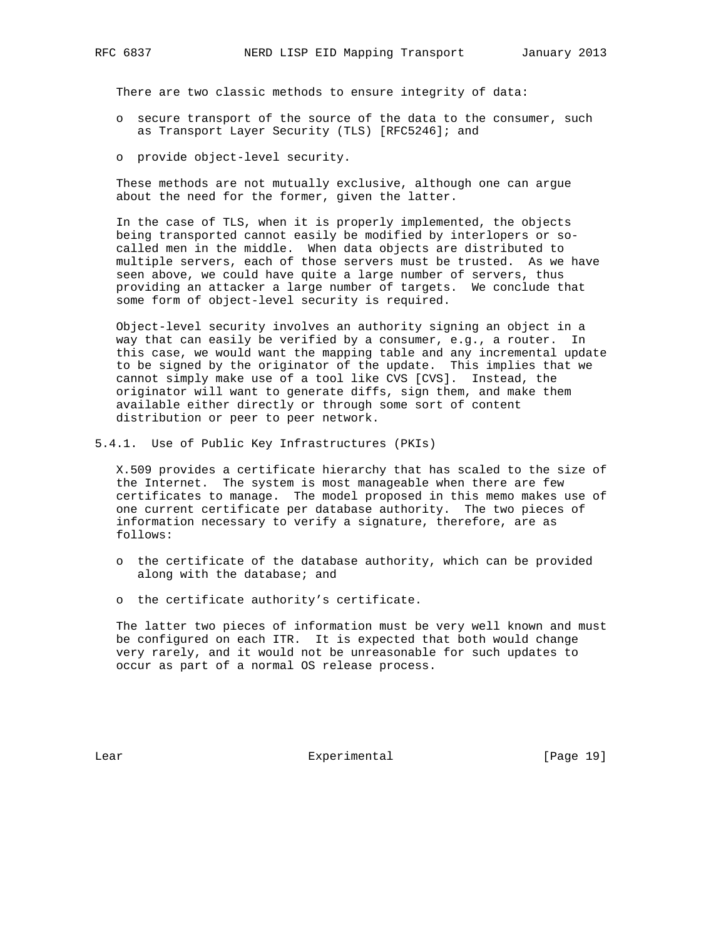There are two classic methods to ensure integrity of data:

- o secure transport of the source of the data to the consumer, such as Transport Layer Security (TLS) [RFC5246]; and
- o provide object-level security.

 These methods are not mutually exclusive, although one can argue about the need for the former, given the latter.

 In the case of TLS, when it is properly implemented, the objects being transported cannot easily be modified by interlopers or so called men in the middle. When data objects are distributed to multiple servers, each of those servers must be trusted. As we have seen above, we could have quite a large number of servers, thus providing an attacker a large number of targets. We conclude that some form of object-level security is required.

 Object-level security involves an authority signing an object in a way that can easily be verified by a consumer, e.g., a router. In this case, we would want the mapping table and any incremental update to be signed by the originator of the update. This implies that we cannot simply make use of a tool like CVS [CVS]. Instead, the originator will want to generate diffs, sign them, and make them available either directly or through some sort of content distribution or peer to peer network.

5.4.1. Use of Public Key Infrastructures (PKIs)

 X.509 provides a certificate hierarchy that has scaled to the size of the Internet. The system is most manageable when there are few certificates to manage. The model proposed in this memo makes use of one current certificate per database authority. The two pieces of information necessary to verify a signature, therefore, are as follows:

- o the certificate of the database authority, which can be provided along with the database; and
- o the certificate authority's certificate.

 The latter two pieces of information must be very well known and must be configured on each ITR. It is expected that both would change very rarely, and it would not be unreasonable for such updates to occur as part of a normal OS release process.

Lear Experimental [Page 19]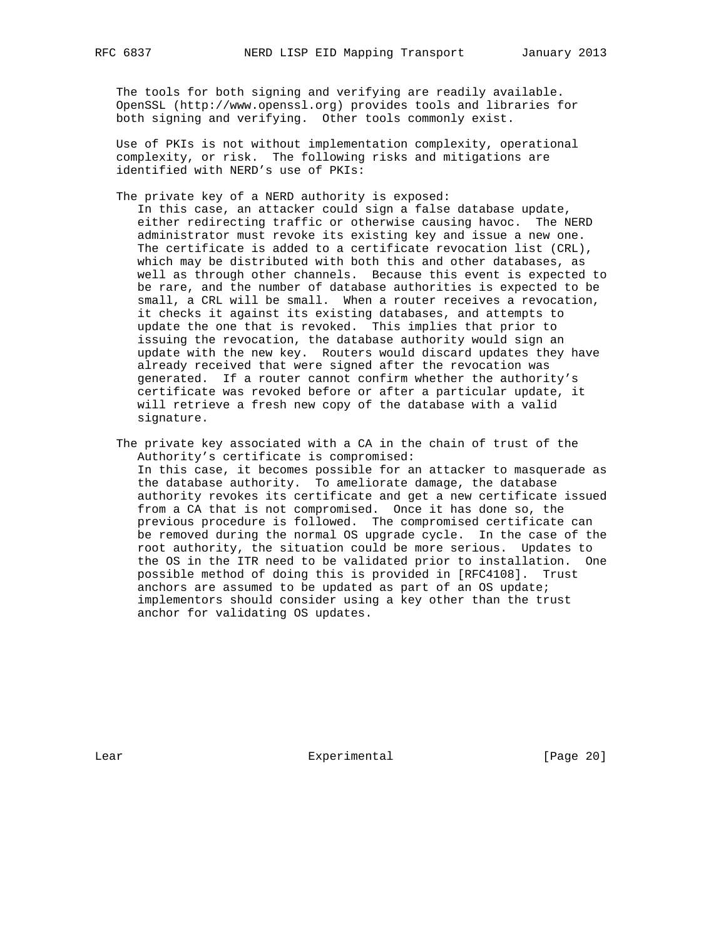The tools for both signing and verifying are readily available. OpenSSL (http://www.openssl.org) provides tools and libraries for both signing and verifying. Other tools commonly exist.

 Use of PKIs is not without implementation complexity, operational complexity, or risk. The following risks and mitigations are identified with NERD's use of PKIs:

The private key of a NERD authority is exposed:

 In this case, an attacker could sign a false database update, either redirecting traffic or otherwise causing havoc. The NERD administrator must revoke its existing key and issue a new one. The certificate is added to a certificate revocation list (CRL), which may be distributed with both this and other databases, as well as through other channels. Because this event is expected to be rare, and the number of database authorities is expected to be small, a CRL will be small. When a router receives a revocation, it checks it against its existing databases, and attempts to update the one that is revoked. This implies that prior to issuing the revocation, the database authority would sign an update with the new key. Routers would discard updates they have already received that were signed after the revocation was generated. If a router cannot confirm whether the authority's certificate was revoked before or after a particular update, it will retrieve a fresh new copy of the database with a valid signature.

 The private key associated with a CA in the chain of trust of the Authority's certificate is compromised: In this case, it becomes possible for an attacker to masquerade as the database authority. To ameliorate damage, the database authority revokes its certificate and get a new certificate issued from a CA that is not compromised. Once it has done so, the previous procedure is followed. The compromised certificate can be removed during the normal OS upgrade cycle. In the case of the root authority, the situation could be more serious. Updates to the OS in the ITR need to be validated prior to installation. One possible method of doing this is provided in [RFC4108]. Trust anchors are assumed to be updated as part of an OS update; implementors should consider using a key other than the trust anchor for validating OS updates.

Lear Experimental Experimental [Page 20]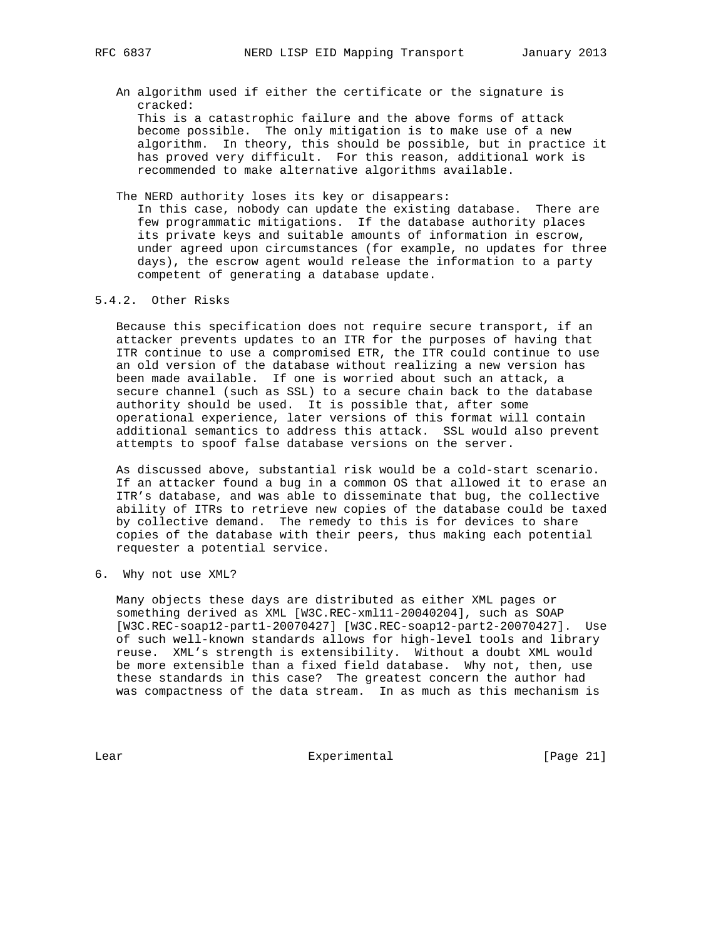- An algorithm used if either the certificate or the signature is cracked: This is a catastrophic failure and the above forms of attack become possible. The only mitigation is to make use of a new algorithm. In theory, this should be possible, but in practice it has proved very difficult. For this reason, additional work is recommended to make alternative algorithms available.
- The NERD authority loses its key or disappears:

 In this case, nobody can update the existing database. There are few programmatic mitigations. If the database authority places its private keys and suitable amounts of information in escrow, under agreed upon circumstances (for example, no updates for three days), the escrow agent would release the information to a party competent of generating a database update.

### 5.4.2. Other Risks

 Because this specification does not require secure transport, if an attacker prevents updates to an ITR for the purposes of having that ITR continue to use a compromised ETR, the ITR could continue to use an old version of the database without realizing a new version has been made available. If one is worried about such an attack, a secure channel (such as SSL) to a secure chain back to the database authority should be used. It is possible that, after some operational experience, later versions of this format will contain additional semantics to address this attack. SSL would also prevent attempts to spoof false database versions on the server.

 As discussed above, substantial risk would be a cold-start scenario. If an attacker found a bug in a common OS that allowed it to erase an ITR's database, and was able to disseminate that bug, the collective ability of ITRs to retrieve new copies of the database could be taxed by collective demand. The remedy to this is for devices to share copies of the database with their peers, thus making each potential requester a potential service.

6. Why not use XML?

 Many objects these days are distributed as either XML pages or something derived as XML [W3C.REC-xml11-20040204], such as SOAP [W3C.REC-soap12-part1-20070427] [W3C.REC-soap12-part2-20070427]. Use of such well-known standards allows for high-level tools and library reuse. XML's strength is extensibility. Without a doubt XML would be more extensible than a fixed field database. Why not, then, use these standards in this case? The greatest concern the author had was compactness of the data stream. In as much as this mechanism is

Lear Experimental [Page 21]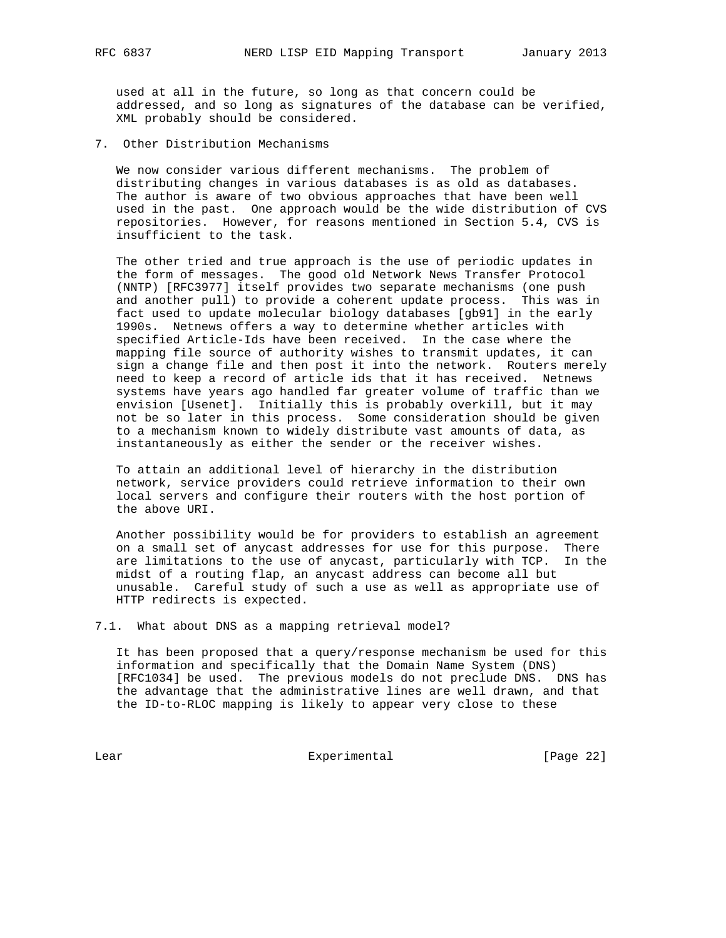used at all in the future, so long as that concern could be addressed, and so long as signatures of the database can be verified, XML probably should be considered.

7. Other Distribution Mechanisms

 We now consider various different mechanisms. The problem of distributing changes in various databases is as old as databases. The author is aware of two obvious approaches that have been well used in the past. One approach would be the wide distribution of CVS repositories. However, for reasons mentioned in Section 5.4, CVS is insufficient to the task.

 The other tried and true approach is the use of periodic updates in the form of messages. The good old Network News Transfer Protocol (NNTP) [RFC3977] itself provides two separate mechanisms (one push and another pull) to provide a coherent update process. This was in fact used to update molecular biology databases [gb91] in the early 1990s. Netnews offers a way to determine whether articles with specified Article-Ids have been received. In the case where the mapping file source of authority wishes to transmit updates, it can sign a change file and then post it into the network. Routers merely need to keep a record of article ids that it has received. Netnews systems have years ago handled far greater volume of traffic than we envision [Usenet]. Initially this is probably overkill, but it may not be so later in this process. Some consideration should be given to a mechanism known to widely distribute vast amounts of data, as instantaneously as either the sender or the receiver wishes.

 To attain an additional level of hierarchy in the distribution network, service providers could retrieve information to their own local servers and configure their routers with the host portion of the above URI.

 Another possibility would be for providers to establish an agreement on a small set of anycast addresses for use for this purpose. There are limitations to the use of anycast, particularly with TCP. In the midst of a routing flap, an anycast address can become all but unusable. Careful study of such a use as well as appropriate use of HTTP redirects is expected.

7.1. What about DNS as a mapping retrieval model?

 It has been proposed that a query/response mechanism be used for this information and specifically that the Domain Name System (DNS) [RFC1034] be used. The previous models do not preclude DNS. DNS has the advantage that the administrative lines are well drawn, and that the ID-to-RLOC mapping is likely to appear very close to these

Lear Experimental [Page 22]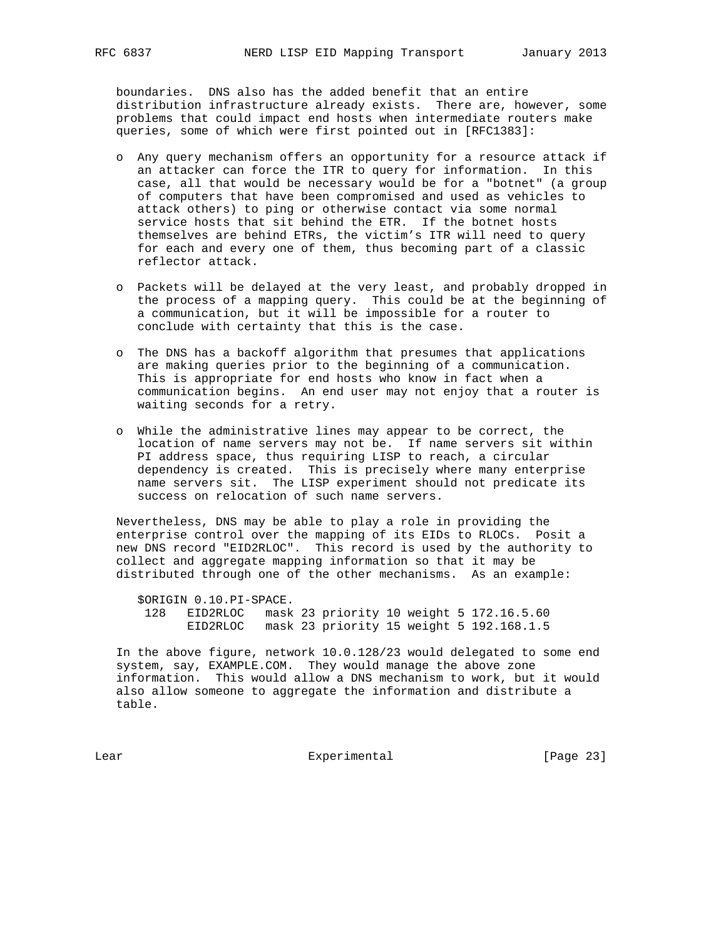boundaries. DNS also has the added benefit that an entire distribution infrastructure already exists. There are, however, some problems that could impact end hosts when intermediate routers make queries, some of which were first pointed out in [RFC1383]:

- o Any query mechanism offers an opportunity for a resource attack if an attacker can force the ITR to query for information. In this case, all that would be necessary would be for a "botnet" (a group of computers that have been compromised and used as vehicles to attack others) to ping or otherwise contact via some normal service hosts that sit behind the ETR. If the botnet hosts themselves are behind ETRs, the victim's ITR will need to query for each and every one of them, thus becoming part of a classic reflector attack.
- o Packets will be delayed at the very least, and probably dropped in the process of a mapping query. This could be at the beginning of a communication, but it will be impossible for a router to conclude with certainty that this is the case.
- o The DNS has a backoff algorithm that presumes that applications are making queries prior to the beginning of a communication. This is appropriate for end hosts who know in fact when a communication begins. An end user may not enjoy that a router is waiting seconds for a retry.
- o While the administrative lines may appear to be correct, the location of name servers may not be. If name servers sit within PI address space, thus requiring LISP to reach, a circular dependency is created. This is precisely where many enterprise name servers sit. The LISP experiment should not predicate its success on relocation of such name servers.

 Nevertheless, DNS may be able to play a role in providing the enterprise control over the mapping of its EIDs to RLOCs. Posit a new DNS record "EID2RLOC". This record is used by the authority to collect and aggregate mapping information so that it may be distributed through one of the other mechanisms. As an example:

 \$ORIGIN 0.10.PI-SPACE. 128 EID2RLOC mask 23 priority 10 weight 5 172.16.5.60 EID2RLOC mask 23 priority 15 weight 5 192.168.1.5

 In the above figure, network 10.0.128/23 would delegated to some end system, say, EXAMPLE.COM. They would manage the above zone information. This would allow a DNS mechanism to work, but it would also allow someone to aggregate the information and distribute a table.

Lear Experimental Experimental [Page 23]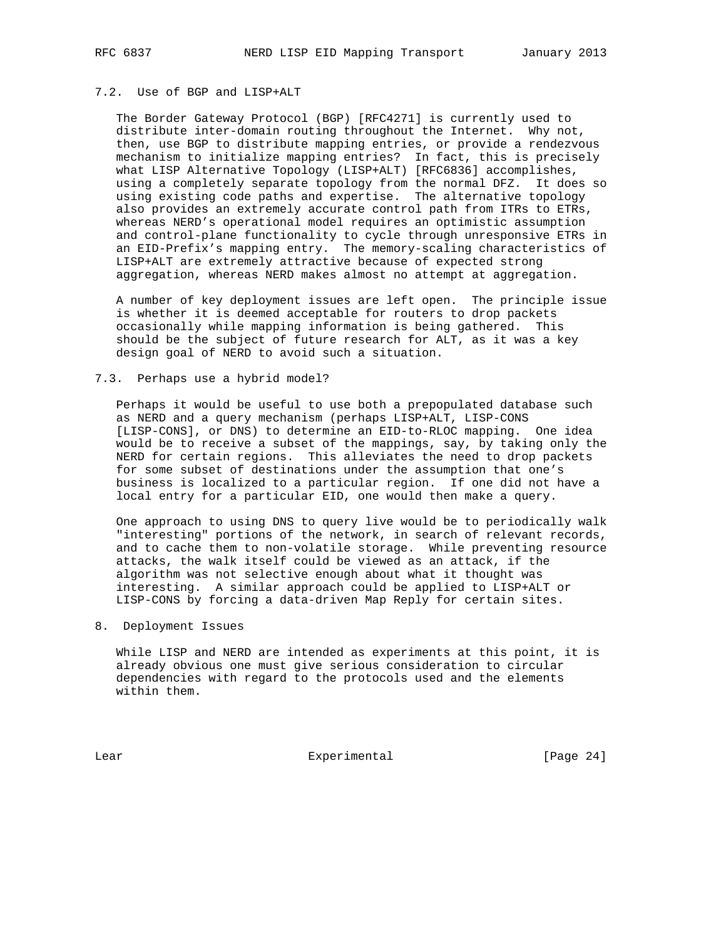## 7.2. Use of BGP and LISP+ALT

 The Border Gateway Protocol (BGP) [RFC4271] is currently used to distribute inter-domain routing throughout the Internet. Why not, then, use BGP to distribute mapping entries, or provide a rendezvous mechanism to initialize mapping entries? In fact, this is precisely what LISP Alternative Topology (LISP+ALT) [RFC6836] accomplishes, using a completely separate topology from the normal DFZ. It does so using existing code paths and expertise. The alternative topology also provides an extremely accurate control path from ITRs to ETRs, whereas NERD's operational model requires an optimistic assumption and control-plane functionality to cycle through unresponsive ETRs in an EID-Prefix's mapping entry. The memory-scaling characteristics of LISP+ALT are extremely attractive because of expected strong aggregation, whereas NERD makes almost no attempt at aggregation.

 A number of key deployment issues are left open. The principle issue is whether it is deemed acceptable for routers to drop packets occasionally while mapping information is being gathered. This should be the subject of future research for ALT, as it was a key design goal of NERD to avoid such a situation.

## 7.3. Perhaps use a hybrid model?

 Perhaps it would be useful to use both a prepopulated database such as NERD and a query mechanism (perhaps LISP+ALT, LISP-CONS [LISP-CONS], or DNS) to determine an EID-to-RLOC mapping. One idea would be to receive a subset of the mappings, say, by taking only the NERD for certain regions. This alleviates the need to drop packets for some subset of destinations under the assumption that one's business is localized to a particular region. If one did not have a local entry for a particular EID, one would then make a query.

 One approach to using DNS to query live would be to periodically walk "interesting" portions of the network, in search of relevant records, and to cache them to non-volatile storage. While preventing resource attacks, the walk itself could be viewed as an attack, if the algorithm was not selective enough about what it thought was interesting. A similar approach could be applied to LISP+ALT or LISP-CONS by forcing a data-driven Map Reply for certain sites.

## 8. Deployment Issues

 While LISP and NERD are intended as experiments at this point, it is already obvious one must give serious consideration to circular dependencies with regard to the protocols used and the elements within them.

Lear Experimental Experimental [Page 24]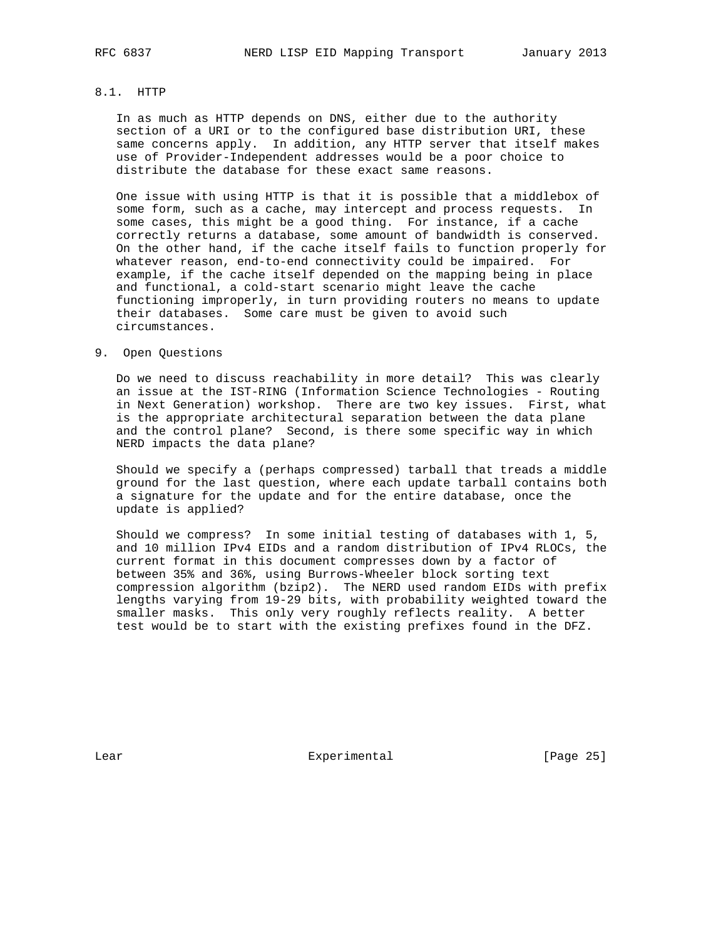## 8.1. HTTP

 In as much as HTTP depends on DNS, either due to the authority section of a URI or to the configured base distribution URI, these same concerns apply. In addition, any HTTP server that itself makes use of Provider-Independent addresses would be a poor choice to distribute the database for these exact same reasons.

 One issue with using HTTP is that it is possible that a middlebox of some form, such as a cache, may intercept and process requests. In some cases, this might be a good thing. For instance, if a cache correctly returns a database, some amount of bandwidth is conserved. On the other hand, if the cache itself fails to function properly for whatever reason, end-to-end connectivity could be impaired. For example, if the cache itself depended on the mapping being in place and functional, a cold-start scenario might leave the cache functioning improperly, in turn providing routers no means to update their databases. Some care must be given to avoid such circumstances.

#### 9. Open Questions

 Do we need to discuss reachability in more detail? This was clearly an issue at the IST-RING (Information Science Technologies - Routing in Next Generation) workshop. There are two key issues. First, what is the appropriate architectural separation between the data plane and the control plane? Second, is there some specific way in which NERD impacts the data plane?

 Should we specify a (perhaps compressed) tarball that treads a middle ground for the last question, where each update tarball contains both a signature for the update and for the entire database, once the update is applied?

 Should we compress? In some initial testing of databases with 1, 5, and 10 million IPv4 EIDs and a random distribution of IPv4 RLOCs, the current format in this document compresses down by a factor of between 35% and 36%, using Burrows-Wheeler block sorting text compression algorithm (bzip2). The NERD used random EIDs with prefix lengths varying from 19-29 bits, with probability weighted toward the smaller masks. This only very roughly reflects reality. A better test would be to start with the existing prefixes found in the DFZ.

Lear Experimental [Page 25]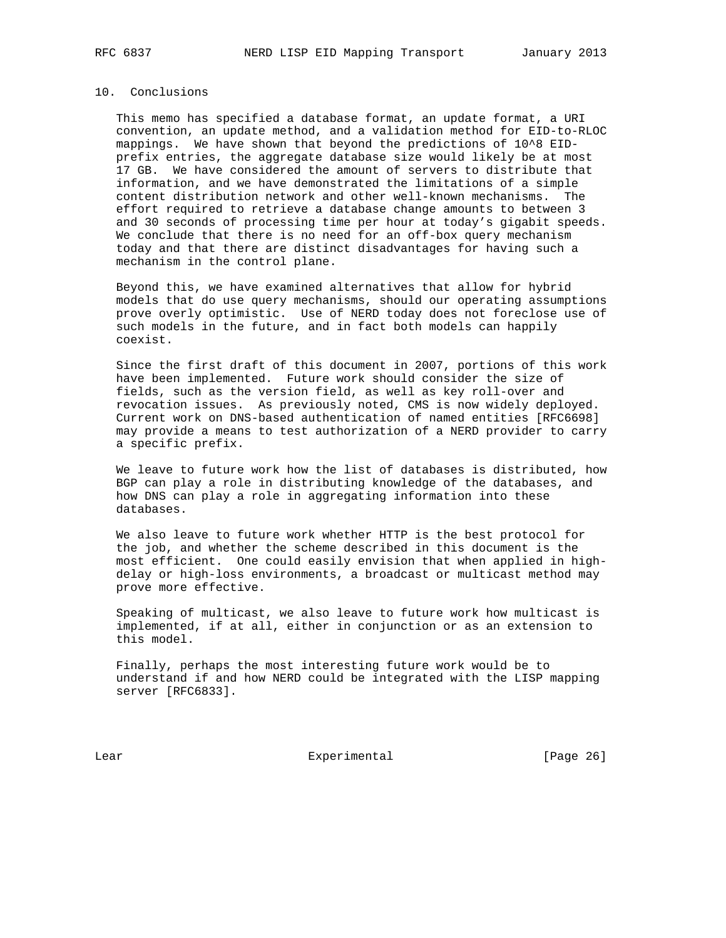## 10. Conclusions

 This memo has specified a database format, an update format, a URI convention, an update method, and a validation method for EID-to-RLOC mappings. We have shown that beyond the predictions of 10^8 EID prefix entries, the aggregate database size would likely be at most 17 GB. We have considered the amount of servers to distribute that information, and we have demonstrated the limitations of a simple content distribution network and other well-known mechanisms. The effort required to retrieve a database change amounts to between 3 and 30 seconds of processing time per hour at today's gigabit speeds. We conclude that there is no need for an off-box query mechanism today and that there are distinct disadvantages for having such a mechanism in the control plane.

 Beyond this, we have examined alternatives that allow for hybrid models that do use query mechanisms, should our operating assumptions prove overly optimistic. Use of NERD today does not foreclose use of such models in the future, and in fact both models can happily coexist.

 Since the first draft of this document in 2007, portions of this work have been implemented. Future work should consider the size of fields, such as the version field, as well as key roll-over and revocation issues. As previously noted, CMS is now widely deployed. Current work on DNS-based authentication of named entities [RFC6698] may provide a means to test authorization of a NERD provider to carry a specific prefix.

 We leave to future work how the list of databases is distributed, how BGP can play a role in distributing knowledge of the databases, and how DNS can play a role in aggregating information into these databases.

 We also leave to future work whether HTTP is the best protocol for the job, and whether the scheme described in this document is the most efficient. One could easily envision that when applied in high delay or high-loss environments, a broadcast or multicast method may prove more effective.

 Speaking of multicast, we also leave to future work how multicast is implemented, if at all, either in conjunction or as an extension to this model.

 Finally, perhaps the most interesting future work would be to understand if and how NERD could be integrated with the LISP mapping server [RFC6833].

Lear Experimental Experimental [Page 26]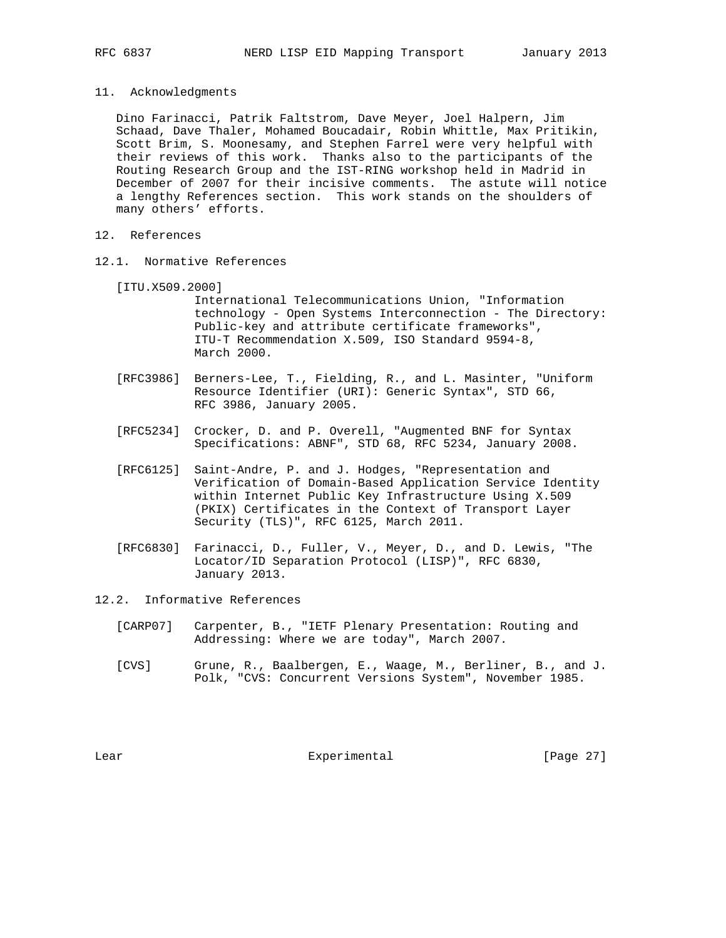11. Acknowledgments

 Dino Farinacci, Patrik Faltstrom, Dave Meyer, Joel Halpern, Jim Schaad, Dave Thaler, Mohamed Boucadair, Robin Whittle, Max Pritikin, Scott Brim, S. Moonesamy, and Stephen Farrel were very helpful with their reviews of this work. Thanks also to the participants of the Routing Research Group and the IST-RING workshop held in Madrid in December of 2007 for their incisive comments. The astute will notice a lengthy References section. This work stands on the shoulders of many others' efforts.

- 12. References
- 12.1. Normative References
	- [ITU.X509.2000]

 International Telecommunications Union, "Information technology - Open Systems Interconnection - The Directory: Public-key and attribute certificate frameworks", ITU-T Recommendation X.509, ISO Standard 9594-8, March 2000.

- [RFC3986] Berners-Lee, T., Fielding, R., and L. Masinter, "Uniform Resource Identifier (URI): Generic Syntax", STD 66, RFC 3986, January 2005.
- [RFC5234] Crocker, D. and P. Overell, "Augmented BNF for Syntax Specifications: ABNF", STD 68, RFC 5234, January 2008.
- [RFC6125] Saint-Andre, P. and J. Hodges, "Representation and Verification of Domain-Based Application Service Identity within Internet Public Key Infrastructure Using X.509 (PKIX) Certificates in the Context of Transport Layer Security (TLS)", RFC 6125, March 2011.
- [RFC6830] Farinacci, D., Fuller, V., Meyer, D., and D. Lewis, "The Locator/ID Separation Protocol (LISP)", RFC 6830, January 2013.
- 12.2. Informative References
	- [CARP07] Carpenter, B., "IETF Plenary Presentation: Routing and Addressing: Where we are today", March 2007.
	- [CVS] Grune, R., Baalbergen, E., Waage, M., Berliner, B., and J. Polk, "CVS: Concurrent Versions System", November 1985.

Lear Experimental [Page 27]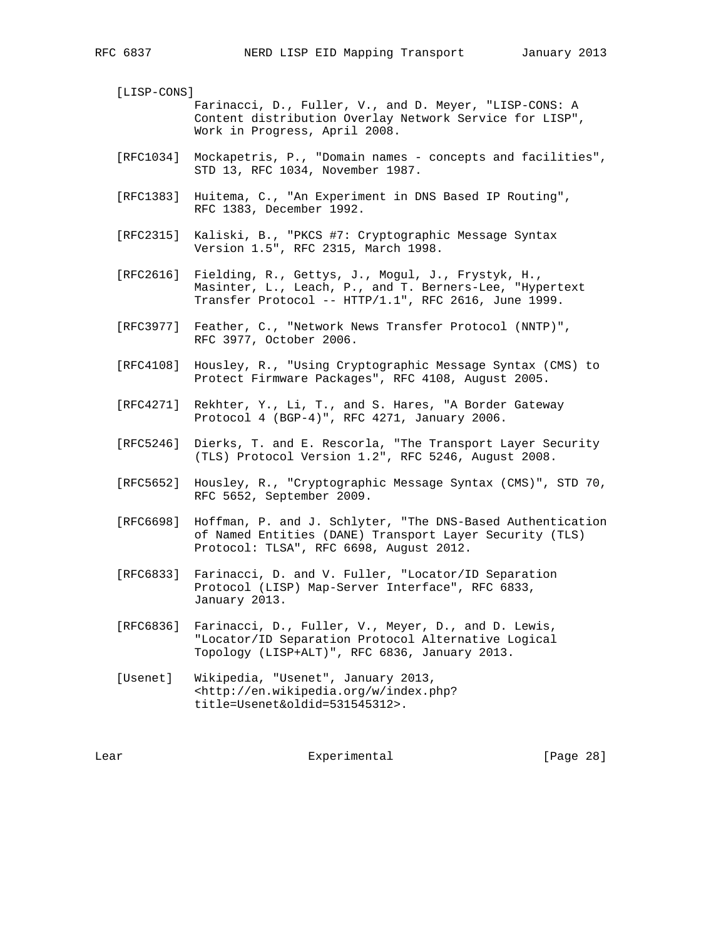[LISP-CONS] Farinacci, D., Fuller, V., and D. Meyer, "LISP-CONS: A Content distribution Overlay Network Service for LISP", Work in Progress, April 2008.

- [RFC1034] Mockapetris, P., "Domain names concepts and facilities", STD 13, RFC 1034, November 1987.
- [RFC1383] Huitema, C., "An Experiment in DNS Based IP Routing", RFC 1383, December 1992.
- [RFC2315] Kaliski, B., "PKCS #7: Cryptographic Message Syntax Version 1.5", RFC 2315, March 1998.
- [RFC2616] Fielding, R., Gettys, J., Mogul, J., Frystyk, H., Masinter, L., Leach, P., and T. Berners-Lee, "Hypertext Transfer Protocol -- HTTP/1.1", RFC 2616, June 1999.
- [RFC3977] Feather, C., "Network News Transfer Protocol (NNTP)", RFC 3977, October 2006.
- [RFC4108] Housley, R., "Using Cryptographic Message Syntax (CMS) to Protect Firmware Packages", RFC 4108, August 2005.
- [RFC4271] Rekhter, Y., Li, T., and S. Hares, "A Border Gateway Protocol 4 (BGP-4)", RFC 4271, January 2006.
- [RFC5246] Dierks, T. and E. Rescorla, "The Transport Layer Security (TLS) Protocol Version 1.2", RFC 5246, August 2008.
- [RFC5652] Housley, R., "Cryptographic Message Syntax (CMS)", STD 70, RFC 5652, September 2009.
- [RFC6698] Hoffman, P. and J. Schlyter, "The DNS-Based Authentication of Named Entities (DANE) Transport Layer Security (TLS) Protocol: TLSA", RFC 6698, August 2012.
- [RFC6833] Farinacci, D. and V. Fuller, "Locator/ID Separation Protocol (LISP) Map-Server Interface", RFC 6833, January 2013.
- [RFC6836] Farinacci, D., Fuller, V., Meyer, D., and D. Lewis, "Locator/ID Separation Protocol Alternative Logical Topology (LISP+ALT)", RFC 6836, January 2013.
- [Usenet] Wikipedia, "Usenet", January 2013, <http://en.wikipedia.org/w/index.php? title=Usenet&oldid=531545312>.

Lear Experimental Experimental [Page 28]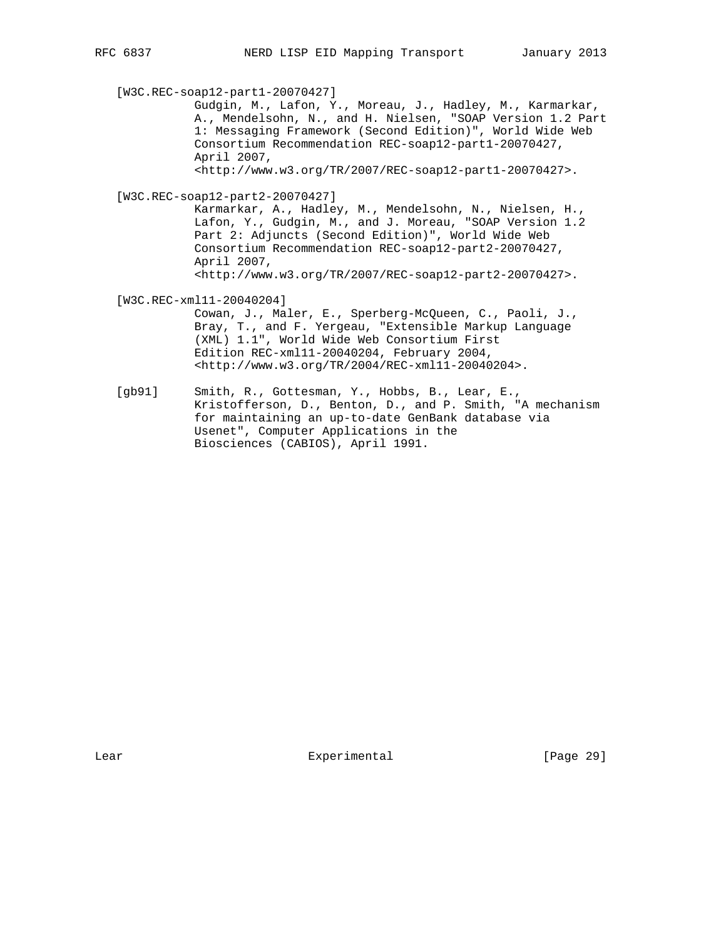[W3C.REC-soap12-part1-20070427] Gudgin, M., Lafon, Y., Moreau, J., Hadley, M., Karmarkar, A., Mendelsohn, N., and H. Nielsen, "SOAP Version 1.2 Part 1: Messaging Framework (Second Edition)", World Wide Web Consortium Recommendation REC-soap12-part1-20070427, April 2007, <http://www.w3.org/TR/2007/REC-soap12-part1-20070427>. [W3C.REC-soap12-part2-20070427] Karmarkar, A., Hadley, M., Mendelsohn, N., Nielsen, H., Lafon, Y., Gudgin, M., and J. Moreau, "SOAP Version 1.2 Part 2: Adjuncts (Second Edition)", World Wide Web Consortium Recommendation REC-soap12-part2-20070427, April 2007, <http://www.w3.org/TR/2007/REC-soap12-part2-20070427>. [W3C.REC-xml11-20040204] Cowan, J., Maler, E., Sperberg-McQueen, C., Paoli, J., Bray, T., and F. Yergeau, "Extensible Markup Language (XML) 1.1", World Wide Web Consortium First Edition REC-xml11-20040204, February 2004, <http://www.w3.org/TR/2004/REC-xml11-20040204>. [gb91] Smith, R., Gottesman, Y., Hobbs, B., Lear, E.,

 Kristofferson, D., Benton, D., and P. Smith, "A mechanism for maintaining an up-to-date GenBank database via Usenet", Computer Applications in the Biosciences (CABIOS), April 1991.

Lear Experimental [Page 29]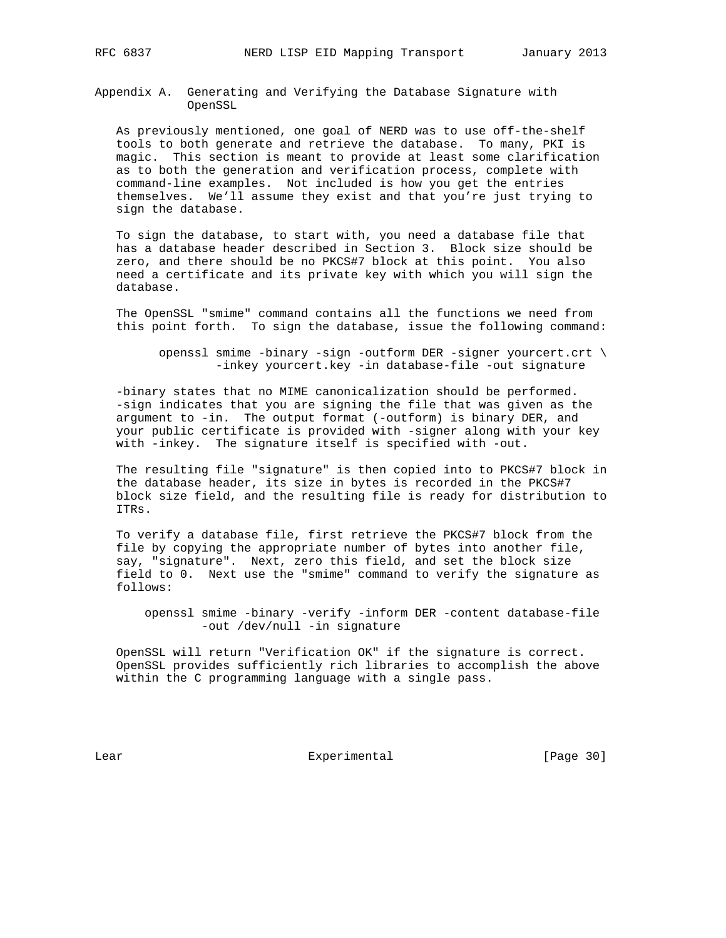Appendix A. Generating and Verifying the Database Signature with OpenSSL

 As previously mentioned, one goal of NERD was to use off-the-shelf tools to both generate and retrieve the database. To many, PKI is magic. This section is meant to provide at least some clarification as to both the generation and verification process, complete with command-line examples. Not included is how you get the entries themselves. We'll assume they exist and that you're just trying to sign the database.

 To sign the database, to start with, you need a database file that has a database header described in Section 3. Block size should be zero, and there should be no PKCS#7 block at this point. You also need a certificate and its private key with which you will sign the database.

 The OpenSSL "smime" command contains all the functions we need from this point forth. To sign the database, issue the following command:

 openssl smime -binary -sign -outform DER -signer yourcert.crt \ -inkey yourcert.key -in database-file -out signature

 -binary states that no MIME canonicalization should be performed. -sign indicates that you are signing the file that was given as the argument to -in. The output format (-outform) is binary DER, and your public certificate is provided with -signer along with your key with -inkey. The signature itself is specified with -out.

 The resulting file "signature" is then copied into to PKCS#7 block in the database header, its size in bytes is recorded in the PKCS#7 block size field, and the resulting file is ready for distribution to ITRs.

 To verify a database file, first retrieve the PKCS#7 block from the file by copying the appropriate number of bytes into another file, say, "signature". Next, zero this field, and set the block size field to 0. Next use the "smime" command to verify the signature as follows:

 openssl smime -binary -verify -inform DER -content database-file -out /dev/null -in signature

 OpenSSL will return "Verification OK" if the signature is correct. OpenSSL provides sufficiently rich libraries to accomplish the above within the C programming language with a single pass.

Lear Experimental [Page 30]